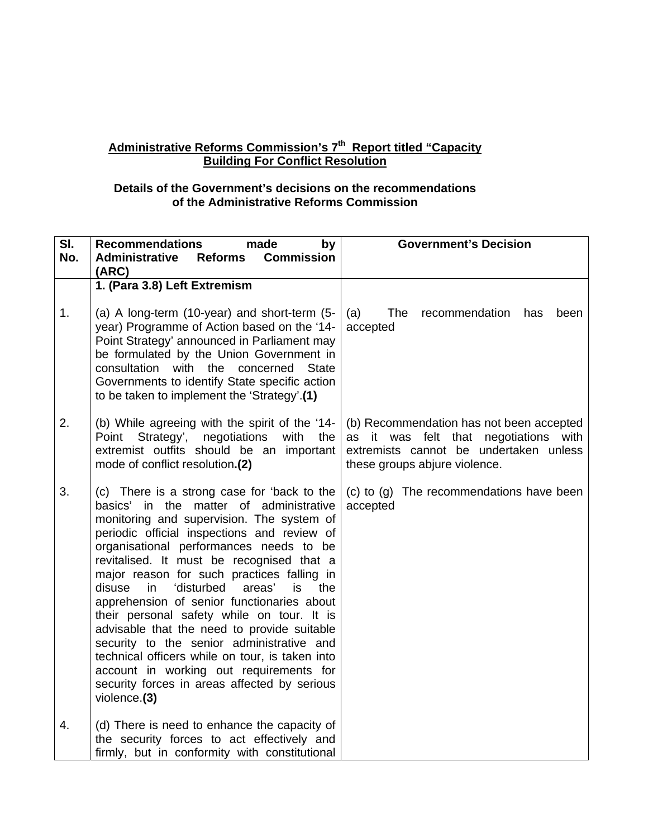## **Administrative Reforms Commission's 7th Report titled "Capacity Building For Conflict Resolution**

## **Details of the Government's decisions on the recommendations of the Administrative Reforms Commission**

| $\overline{\mathsf{SI}}$ . | <b>Recommendations</b><br>made<br>by                                                                                                                                                                                                                                                                                                                                                                                                                                                                                                                                                                                                                                                                                                  | <b>Government's Decision</b>                                                                                                                                 |
|----------------------------|---------------------------------------------------------------------------------------------------------------------------------------------------------------------------------------------------------------------------------------------------------------------------------------------------------------------------------------------------------------------------------------------------------------------------------------------------------------------------------------------------------------------------------------------------------------------------------------------------------------------------------------------------------------------------------------------------------------------------------------|--------------------------------------------------------------------------------------------------------------------------------------------------------------|
| No.                        | <b>Commission</b><br><b>Administrative</b><br><b>Reforms</b>                                                                                                                                                                                                                                                                                                                                                                                                                                                                                                                                                                                                                                                                          |                                                                                                                                                              |
|                            | (ARC)                                                                                                                                                                                                                                                                                                                                                                                                                                                                                                                                                                                                                                                                                                                                 |                                                                                                                                                              |
|                            | 1. (Para 3.8) Left Extremism                                                                                                                                                                                                                                                                                                                                                                                                                                                                                                                                                                                                                                                                                                          |                                                                                                                                                              |
| 1.                         | (a) A long-term (10-year) and short-term (5-<br>year) Programme of Action based on the '14-<br>Point Strategy' announced in Parliament may<br>be formulated by the Union Government in<br>consultation with the concerned State<br>Governments to identify State specific action<br>to be taken to implement the 'Strategy'.(1)                                                                                                                                                                                                                                                                                                                                                                                                       | (a)<br><b>The</b><br>recommendation<br>has<br>been<br>accepted                                                                                               |
| 2.                         | (b) While agreeing with the spirit of the '14-<br>Strategy',<br>Point<br>negotiations<br>with<br>the<br>extremist outfits should be an important<br>mode of conflict resolution.(2)                                                                                                                                                                                                                                                                                                                                                                                                                                                                                                                                                   | (b) Recommendation has not been accepted<br>as it was felt that negotiations with<br>extremists cannot be undertaken unless<br>these groups abjure violence. |
| 3.                         | (c) There is a strong case for 'back to the<br>basics' in the matter of administrative<br>monitoring and supervision. The system of<br>periodic official inspections and review of<br>organisational performances needs to be<br>revitalised. It must be recognised that a<br>major reason for such practices falling in<br>'disturbed<br>disuse<br>in.<br>areas'<br>is.<br>the<br>apprehension of senior functionaries about<br>their personal safety while on tour. It is<br>advisable that the need to provide suitable<br>security to the senior administrative and<br>technical officers while on tour, is taken into<br>account in working out requirements for<br>security forces in areas affected by serious<br>violence.(3) | (c) to (g) The recommendations have been<br>accepted                                                                                                         |
| 4.                         | (d) There is need to enhance the capacity of<br>the security forces to act effectively and<br>firmly, but in conformity with constitutional                                                                                                                                                                                                                                                                                                                                                                                                                                                                                                                                                                                           |                                                                                                                                                              |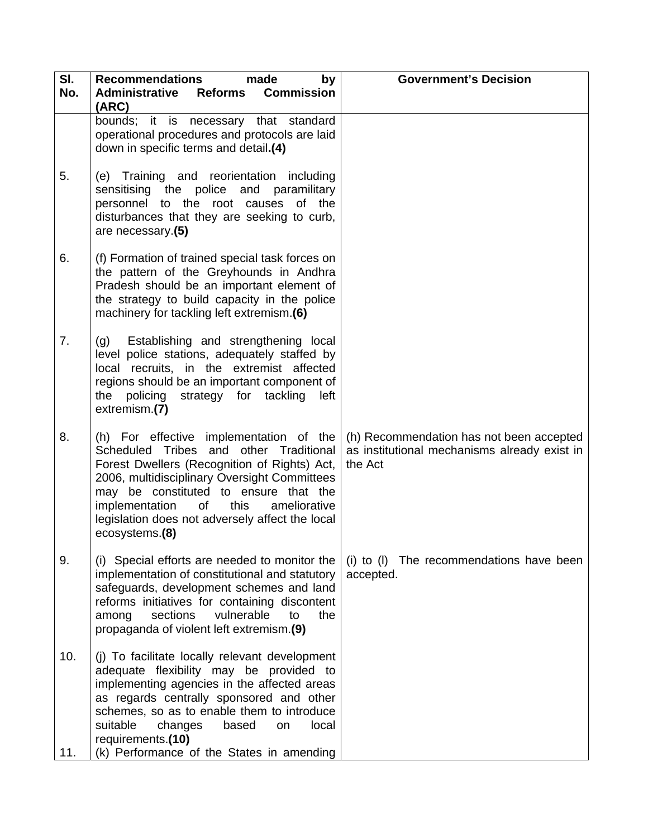| SI.<br>No. | <b>Recommendations</b><br>made<br>by<br><b>Commission</b><br><b>Administrative</b><br><b>Reforms</b>                                                                                                                                                                                                                                                | <b>Government's Decision</b>                                                                        |
|------------|-----------------------------------------------------------------------------------------------------------------------------------------------------------------------------------------------------------------------------------------------------------------------------------------------------------------------------------------------------|-----------------------------------------------------------------------------------------------------|
|            | (ARC)<br>bounds; it is necessary that standard<br>operational procedures and protocols are laid<br>down in specific terms and detail.(4)                                                                                                                                                                                                            |                                                                                                     |
| 5.         | (e) Training and reorientation including<br>sensitising the police and paramilitary<br>personnel to the root causes of the<br>disturbances that they are seeking to curb,<br>are necessary.(5)                                                                                                                                                      |                                                                                                     |
| 6.         | (f) Formation of trained special task forces on<br>the pattern of the Greyhounds in Andhra<br>Pradesh should be an important element of<br>the strategy to build capacity in the police<br>machinery for tackling left extremism.(6)                                                                                                                |                                                                                                     |
| 7.         | (g) Establishing and strengthening local<br>level police stations, adequately staffed by<br>local recruits, in the extremist affected<br>regions should be an important component of<br>policing strategy for tackling<br>the<br>left<br>extremism.(7)                                                                                              |                                                                                                     |
| 8.         | (h) For effective implementation of the<br>Scheduled Tribes and other Traditional<br>Forest Dwellers (Recognition of Rights) Act,<br>2006, multidisciplinary Oversight Committees<br>may be constituted to ensure that the<br>implementation<br>this<br>ameliorative<br>of<br>legislation does not adversely affect the local<br>ecosystems.(8)     | (h) Recommendation has not been accepted<br>as institutional mechanisms already exist in<br>the Act |
| 9.         | (i) Special efforts are needed to monitor the<br>implementation of constitutional and statutory<br>safeguards, development schemes and land<br>reforms initiatives for containing discontent<br>sections<br>vulnerable<br>to<br>the<br>among<br>propaganda of violent left extremism.(9)                                                            | (i) to (I) The recommendations have been<br>accepted.                                               |
| 10.<br>11. | (j) To facilitate locally relevant development<br>adequate flexibility may be provided to<br>implementing agencies in the affected areas<br>as regards centrally sponsored and other<br>schemes, so as to enable them to introduce<br>suitable<br>changes<br>based<br>local<br>on<br>requirements.(10)<br>(k) Performance of the States in amending |                                                                                                     |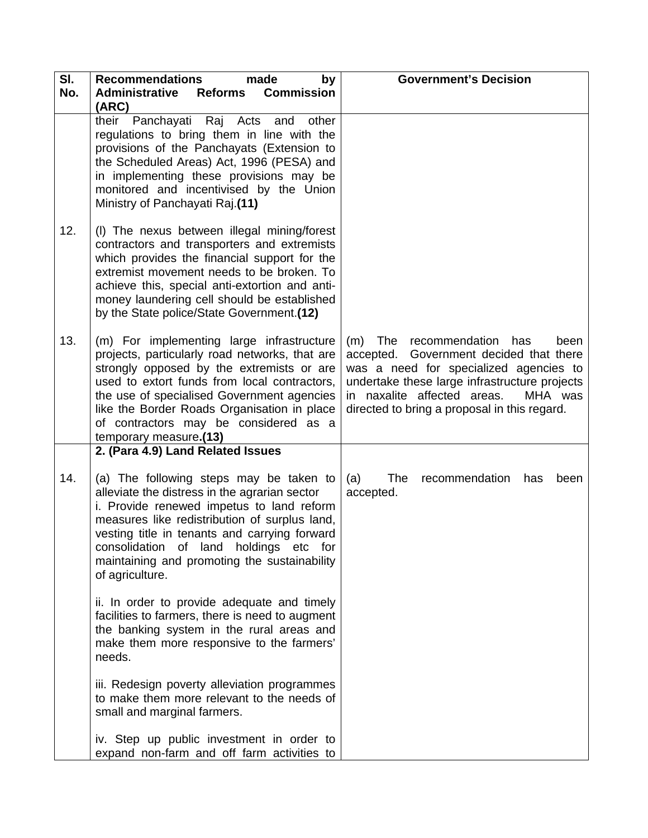| SI.<br>No. | <b>Recommendations</b><br>made<br>by<br><b>Administrative</b><br><b>Commission</b><br>Reforms                                                                                                                                                                                                                                                            | <b>Government's Decision</b>                                                                                                                                                                                                                                       |
|------------|----------------------------------------------------------------------------------------------------------------------------------------------------------------------------------------------------------------------------------------------------------------------------------------------------------------------------------------------------------|--------------------------------------------------------------------------------------------------------------------------------------------------------------------------------------------------------------------------------------------------------------------|
|            | (ARC)                                                                                                                                                                                                                                                                                                                                                    |                                                                                                                                                                                                                                                                    |
|            | their Panchayati Raj Acts and<br>other<br>regulations to bring them in line with the<br>provisions of the Panchayats (Extension to<br>the Scheduled Areas) Act, 1996 (PESA) and<br>in implementing these provisions may be<br>monitored and incentivised by the Union<br>Ministry of Panchayati Raj.(11)                                                 |                                                                                                                                                                                                                                                                    |
| 12.        | (I) The nexus between illegal mining/forest<br>contractors and transporters and extremists<br>which provides the financial support for the<br>extremist movement needs to be broken. To<br>achieve this, special anti-extortion and anti-<br>money laundering cell should be established<br>by the State police/State Government.(12)                    |                                                                                                                                                                                                                                                                    |
| 13.        | (m) For implementing large infrastructure<br>projects, particularly road networks, that are<br>strongly opposed by the extremists or are<br>used to extort funds from local contractors,<br>the use of specialised Government agencies<br>like the Border Roads Organisation in place<br>of contractors may be considered as a<br>temporary measure.(13) | (m) The recommendation has<br>been<br>accepted. Government decided that there<br>was a need for specialized agencies to<br>undertake these large infrastructure projects<br>in naxalite affected areas.<br>MHA was<br>directed to bring a proposal in this regard. |
|            | 2. (Para 4.9) Land Related Issues                                                                                                                                                                                                                                                                                                                        |                                                                                                                                                                                                                                                                    |
| 14.        | (a) The following steps may be taken to<br>alleviate the distress in the agrarian sector<br>i. Provide renewed impetus to land reform<br>measures like redistribution of surplus land,<br>vesting title in tenants and carrying forward<br>consolidation of land holdings etc for<br>maintaining and promoting the sustainability<br>of agriculture.     | <b>The</b><br>(a)<br>recommendation<br>has<br>been<br>accepted.                                                                                                                                                                                                    |
|            | ii. In order to provide adequate and timely<br>facilities to farmers, there is need to augment<br>the banking system in the rural areas and<br>make them more responsive to the farmers'<br>needs.                                                                                                                                                       |                                                                                                                                                                                                                                                                    |
|            | iii. Redesign poverty alleviation programmes<br>to make them more relevant to the needs of<br>small and marginal farmers.                                                                                                                                                                                                                                |                                                                                                                                                                                                                                                                    |
|            | iv. Step up public investment in order to<br>expand non-farm and off farm activities to                                                                                                                                                                                                                                                                  |                                                                                                                                                                                                                                                                    |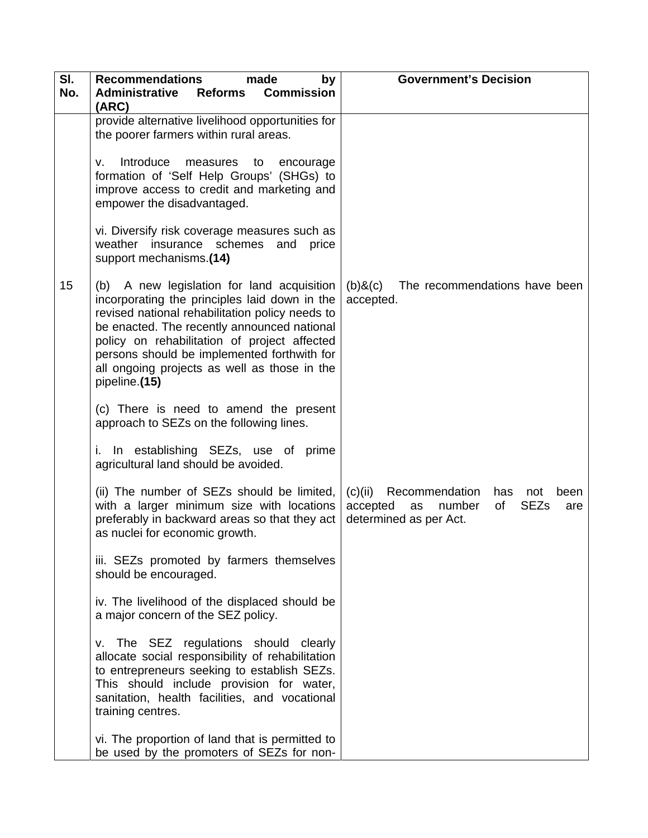| SI.<br>No. | <b>Recommendations</b><br>made<br>by<br><b>Administrative</b><br><b>Commission</b><br><b>Reforms</b>                                                                                                                                                                                                                                                          | <b>Government's Decision</b>                                                                                                      |
|------------|---------------------------------------------------------------------------------------------------------------------------------------------------------------------------------------------------------------------------------------------------------------------------------------------------------------------------------------------------------------|-----------------------------------------------------------------------------------------------------------------------------------|
|            | (ARC)                                                                                                                                                                                                                                                                                                                                                         |                                                                                                                                   |
|            | provide alternative livelihood opportunities for<br>the poorer farmers within rural areas.                                                                                                                                                                                                                                                                    |                                                                                                                                   |
|            | Introduce<br>measures<br>to<br>v.<br>encourage<br>formation of 'Self Help Groups' (SHGs) to<br>improve access to credit and marketing and<br>empower the disadvantaged.                                                                                                                                                                                       |                                                                                                                                   |
|            | vi. Diversify risk coverage measures such as<br>weather insurance schemes and<br>price<br>support mechanisms.(14)                                                                                                                                                                                                                                             |                                                                                                                                   |
| 15         | (b) A new legislation for land acquisition<br>incorporating the principles laid down in the<br>revised national rehabilitation policy needs to<br>be enacted. The recently announced national<br>policy on rehabilitation of project affected<br>persons should be implemented forthwith for<br>all ongoing projects as well as those in the<br>pipeline.(15) | $(b)$ & $(c)$<br>The recommendations have been<br>accepted.                                                                       |
|            | (c) There is need to amend the present<br>approach to SEZs on the following lines.                                                                                                                                                                                                                                                                            |                                                                                                                                   |
|            | In establishing SEZs, use of prime<br>i.<br>agricultural land should be avoided.                                                                                                                                                                                                                                                                              |                                                                                                                                   |
|            | (ii) The number of SEZs should be limited,<br>with a larger minimum size with locations<br>preferably in backward areas so that they act<br>as nuclei for economic growth.                                                                                                                                                                                    | Recommendation<br>(c)(ii)<br>has<br>been<br>not<br><b>SEZs</b><br>accepted<br>number<br>of<br>as<br>are<br>determined as per Act. |
|            | iii. SEZs promoted by farmers themselves<br>should be encouraged.                                                                                                                                                                                                                                                                                             |                                                                                                                                   |
|            | iv. The livelihood of the displaced should be<br>a major concern of the SEZ policy.                                                                                                                                                                                                                                                                           |                                                                                                                                   |
|            | The SEZ regulations should clearly<br>v.<br>allocate social responsibility of rehabilitation<br>to entrepreneurs seeking to establish SEZs.<br>This should include provision for water,<br>sanitation, health facilities, and vocational<br>training centres.                                                                                                 |                                                                                                                                   |
|            | vi. The proportion of land that is permitted to<br>be used by the promoters of SEZs for non-                                                                                                                                                                                                                                                                  |                                                                                                                                   |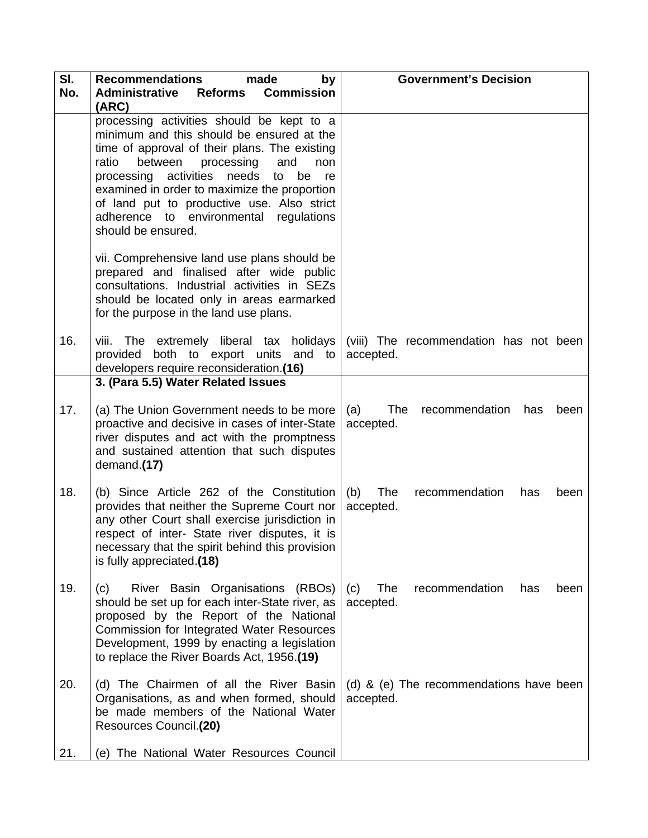| SI.<br>No. | <b>Recommendations</b><br>made<br>by<br><b>Commission</b><br><b>Administrative</b><br><b>Reforms</b><br>(ARC)                                                                                                                                                                                                                                                                                             | <b>Government's Decision</b>                             |
|------------|-----------------------------------------------------------------------------------------------------------------------------------------------------------------------------------------------------------------------------------------------------------------------------------------------------------------------------------------------------------------------------------------------------------|----------------------------------------------------------|
|            | processing activities should be kept to a<br>minimum and this should be ensured at the<br>time of approval of their plans. The existing<br>between<br>processing<br>ratio<br>and<br>non<br>processing activities<br>needs<br>be<br>to<br>re<br>examined in order to maximize the proportion<br>of land put to productive use. Also strict<br>adherence to environmental regulations<br>should be ensured. |                                                          |
|            | vii. Comprehensive land use plans should be<br>prepared and finalised after wide public<br>consultations. Industrial activities in SEZs<br>should be located only in areas earmarked<br>for the purpose in the land use plans.                                                                                                                                                                            |                                                          |
| 16.        | viii. The extremely liberal tax holidays<br>both to export units and to<br>provided<br>developers require reconsideration.(16)<br>3. (Para 5.5) Water Related Issues                                                                                                                                                                                                                                      | (viii) The recommendation has not been<br>accepted.      |
| 17.        | (a) The Union Government needs to be more<br>proactive and decisive in cases of inter-State<br>river disputes and act with the promptness<br>and sustained attention that such disputes<br>demand.(17)                                                                                                                                                                                                    | The<br>(a)<br>recommendation<br>has<br>been<br>accepted. |
| 18.        | (b) Since Article 262 of the Constitution<br>provides that neither the Supreme Court nor<br>any other Court shall exercise jurisdiction in<br>respect of inter- State river disputes, it is<br>necessary that the spirit behind this provision<br>is fully appreciated.(18)                                                                                                                               | The<br>(b)<br>recommendation<br>has<br>been<br>accepted. |
| 19.        | River Basin Organisations (RBOs)<br>(c)<br>should be set up for each inter-State river, as<br>proposed by the Report of the National<br><b>Commission for Integrated Water Resources</b><br>Development, 1999 by enacting a legislation<br>to replace the River Boards Act, 1956.(19)                                                                                                                     | The<br>(c)<br>recommendation<br>has<br>been<br>accepted. |
| 20.        | (d) The Chairmen of all the River Basin<br>Organisations, as and when formed, should<br>be made members of the National Water<br>Resources Council.(20)                                                                                                                                                                                                                                                   | (d) & (e) The recommendations have been<br>accepted.     |
| 21.        | (e) The National Water Resources Council                                                                                                                                                                                                                                                                                                                                                                  |                                                          |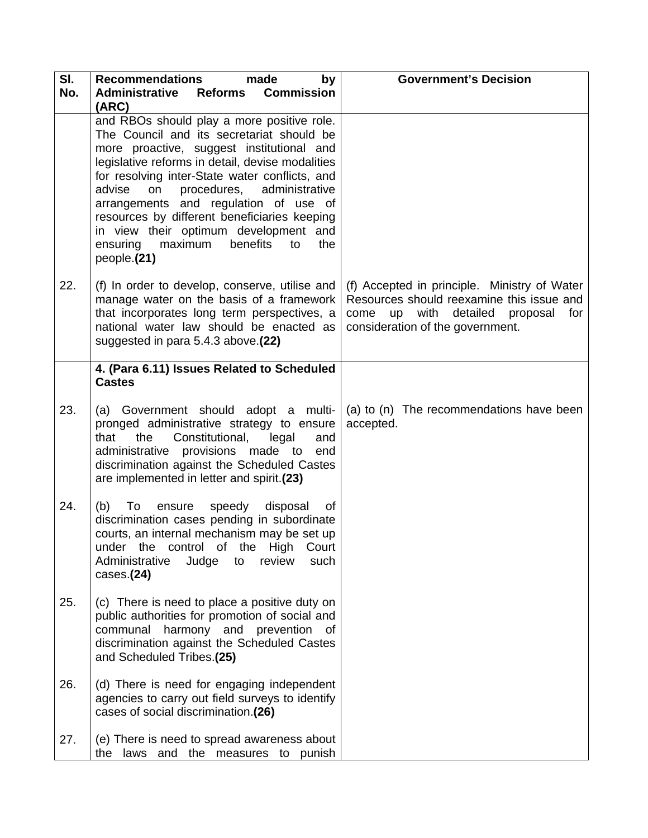| SI.<br>No. | <b>Recommendations</b><br>made<br>by<br><b>Commission</b><br><b>Administrative</b><br><b>Reforms</b><br>(ARC)                                                                                                                                                                                                                                                                                                                                                                          | <b>Government's Decision</b>                                                                                                                                                 |
|------------|----------------------------------------------------------------------------------------------------------------------------------------------------------------------------------------------------------------------------------------------------------------------------------------------------------------------------------------------------------------------------------------------------------------------------------------------------------------------------------------|------------------------------------------------------------------------------------------------------------------------------------------------------------------------------|
|            | and RBOs should play a more positive role.<br>The Council and its secretariat should be<br>more proactive, suggest institutional and<br>legislative reforms in detail, devise modalities<br>for resolving inter-State water conflicts, and<br>advise<br>on procedures, administrative<br>arrangements and regulation of use of<br>resources by different beneficiaries keeping<br>in view their optimum development and<br>maximum<br>ensuring<br>benefits<br>the<br>to<br>people.(21) |                                                                                                                                                                              |
| 22.        | (f) In order to develop, conserve, utilise and<br>manage water on the basis of a framework<br>that incorporates long term perspectives, a<br>national water law should be enacted as<br>suggested in para 5.4.3 above.(22)                                                                                                                                                                                                                                                             | (f) Accepted in principle. Ministry of Water<br>Resources should reexamine this issue and<br>up with detailed<br>come<br>proposal<br>for<br>consideration of the government. |
|            | 4. (Para 6.11) Issues Related to Scheduled<br><b>Castes</b>                                                                                                                                                                                                                                                                                                                                                                                                                            |                                                                                                                                                                              |
| 23.        | (a) Government should adopt a multi-<br>pronged administrative strategy to ensure<br>the Constitutional,<br>legal<br>that<br>and<br>administrative provisions made to end<br>discrimination against the Scheduled Castes<br>are implemented in letter and spirit.(23)                                                                                                                                                                                                                  | (a) to (n) The recommendations have been<br>accepted.                                                                                                                        |
| 24.        | (b)<br>To<br>disposal<br>ensure<br>speedy<br>of<br>discrimination cases pending in subordinate<br>courts, an internal mechanism may be set up<br>under the control of the High Court<br>Administrative<br>Judge<br>to<br>review<br>such<br>cases. (24)                                                                                                                                                                                                                                 |                                                                                                                                                                              |
| 25.        | (c) There is need to place a positive duty on<br>public authorities for promotion of social and<br>communal harmony and prevention of<br>discrimination against the Scheduled Castes<br>and Scheduled Tribes.(25)                                                                                                                                                                                                                                                                      |                                                                                                                                                                              |
| 26.        | (d) There is need for engaging independent<br>agencies to carry out field surveys to identify<br>cases of social discrimination.(26)                                                                                                                                                                                                                                                                                                                                                   |                                                                                                                                                                              |
| 27.        | (e) There is need to spread awareness about<br>the laws and the measures to punish                                                                                                                                                                                                                                                                                                                                                                                                     |                                                                                                                                                                              |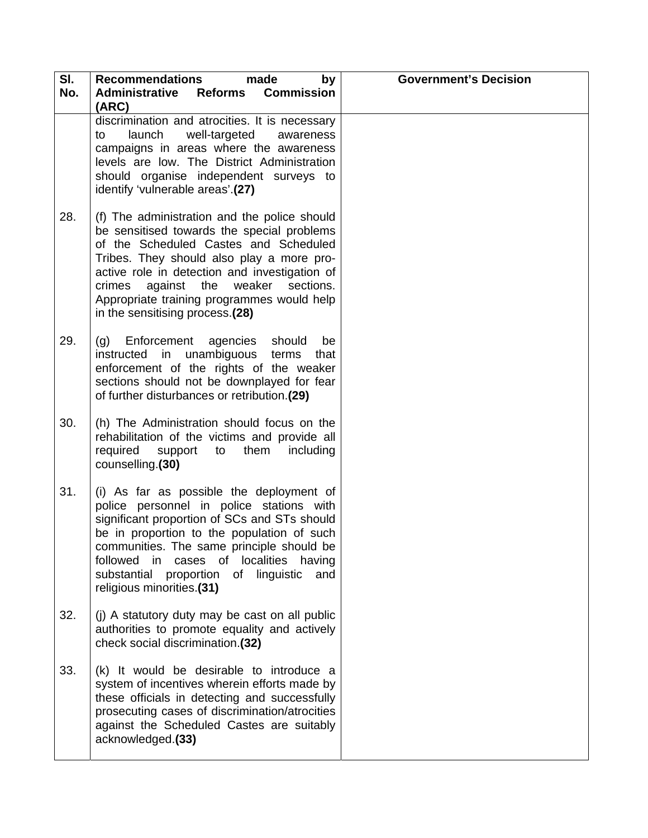| SI. | made<br><b>Recommendations</b><br>by                                                                                                                                                                                                                                                                                                                            | <b>Government's Decision</b> |
|-----|-----------------------------------------------------------------------------------------------------------------------------------------------------------------------------------------------------------------------------------------------------------------------------------------------------------------------------------------------------------------|------------------------------|
| No. | <b>Commission</b><br><b>Administrative</b><br>Reforms<br>(ARC)                                                                                                                                                                                                                                                                                                  |                              |
|     | discrimination and atrocities. It is necessary<br>well-targeted<br>launch<br>to<br>awareness<br>campaigns in areas where the awareness<br>levels are low. The District Administration<br>should organise independent surveys to<br>identify 'vulnerable areas'.(27)                                                                                             |                              |
| 28. | (f) The administration and the police should<br>be sensitised towards the special problems<br>of the Scheduled Castes and Scheduled<br>Tribes. They should also play a more pro-<br>active role in detection and investigation of<br>against the weaker<br>sections.<br>crimes<br>Appropriate training programmes would help<br>in the sensitising process.(28) |                              |
| 29. | Enforcement agencies<br>should<br>(g)<br>be<br>instructed in unambiguous<br>terms<br>that<br>enforcement of the rights of the weaker<br>sections should not be downplayed for fear<br>of further disturbances or retribution.(29)                                                                                                                               |                              |
| 30. | (h) The Administration should focus on the<br>rehabilitation of the victims and provide all<br>required<br>support to<br>them<br>including<br>counselling.(30)                                                                                                                                                                                                  |                              |
| 31. | (i) As far as possible the deployment of<br>police personnel in police stations with<br>significant proportion of SCs and STs should<br>be in proportion to the population of such<br>communities. The same principle should be<br>in cases of localities<br>followed<br>having<br>proportion of linguistic<br>substantial<br>and<br>religious minorities.(31)  |                              |
| 32. | (j) A statutory duty may be cast on all public<br>authorities to promote equality and actively<br>check social discrimination.(32)                                                                                                                                                                                                                              |                              |
| 33. | (k) It would be desirable to introduce a<br>system of incentives wherein efforts made by<br>these officials in detecting and successfully<br>prosecuting cases of discrimination/atrocities<br>against the Scheduled Castes are suitably<br>acknowledged.(33)                                                                                                   |                              |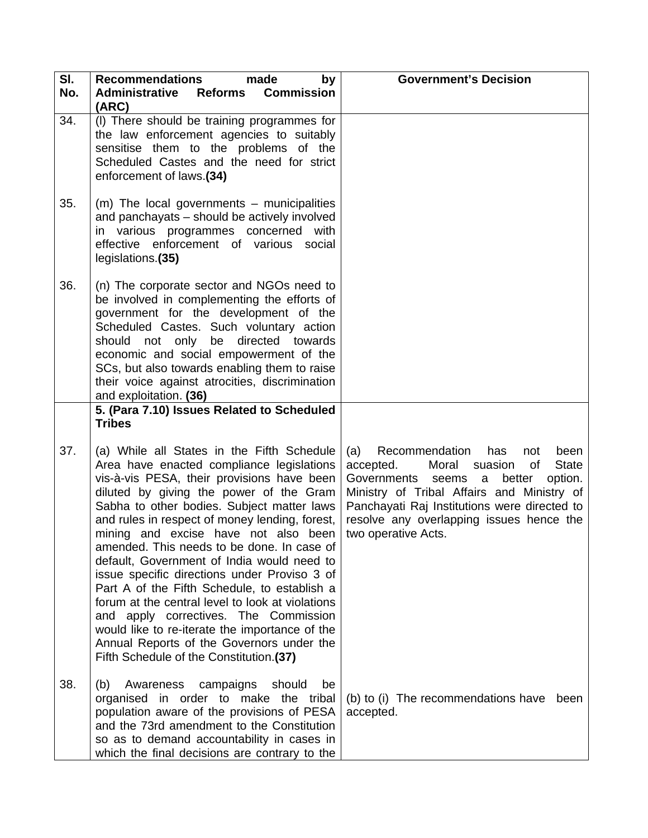| SI.<br>No. | <b>Recommendations</b><br>made<br>by<br><b>Administrative</b><br><b>Commission</b><br><b>Reforms</b><br>(ARC)                                                                                                                                                                                                                                                                                                                                                                                                                                                                                                                                                                                                                                               | <b>Government's Decision</b>                                                                                                                                                                                                                                                                                          |
|------------|-------------------------------------------------------------------------------------------------------------------------------------------------------------------------------------------------------------------------------------------------------------------------------------------------------------------------------------------------------------------------------------------------------------------------------------------------------------------------------------------------------------------------------------------------------------------------------------------------------------------------------------------------------------------------------------------------------------------------------------------------------------|-----------------------------------------------------------------------------------------------------------------------------------------------------------------------------------------------------------------------------------------------------------------------------------------------------------------------|
| 34.        | (I) There should be training programmes for<br>the law enforcement agencies to suitably<br>sensitise them to the problems of the<br>Scheduled Castes and the need for strict<br>enforcement of laws.(34)                                                                                                                                                                                                                                                                                                                                                                                                                                                                                                                                                    |                                                                                                                                                                                                                                                                                                                       |
| 35.        | $(m)$ The local governments – municipalities<br>and panchayats - should be actively involved<br>in various programmes concerned with<br>effective enforcement of various social<br>legislations.(35)                                                                                                                                                                                                                                                                                                                                                                                                                                                                                                                                                        |                                                                                                                                                                                                                                                                                                                       |
| 36.        | (n) The corporate sector and NGOs need to<br>be involved in complementing the efforts of<br>government for the development of the<br>Scheduled Castes. Such voluntary action<br>should not only be directed towards<br>economic and social empowerment of the<br>SCs, but also towards enabling them to raise<br>their voice against atrocities, discrimination<br>and exploitation. (36)<br>5. (Para 7.10) Issues Related to Scheduled<br><b>Tribes</b>                                                                                                                                                                                                                                                                                                    |                                                                                                                                                                                                                                                                                                                       |
| 37.        | (a) While all States in the Fifth Schedule<br>Area have enacted compliance legislations<br>vis-à-vis PESA, their provisions have been<br>diluted by giving the power of the Gram<br>Sabha to other bodies. Subject matter laws<br>and rules in respect of money lending, forest,<br>mining and excise have not also been<br>amended. This needs to be done. In case of<br>default, Government of India would need to<br>issue specific directions under Proviso 3 of<br>Part A of the Fifth Schedule, to establish a<br>forum at the central level to look at violations<br>and apply correctives. The Commission<br>would like to re-iterate the importance of the<br>Annual Reports of the Governors under the<br>Fifth Schedule of the Constitution.(37) | (a)<br>Recommendation<br>has<br>been<br>not<br>accepted.<br>Moral<br>suasion<br><b>State</b><br>οf<br>Governments<br>seems<br>option.<br>better<br>a<br>Ministry of Tribal Affairs and Ministry of<br>Panchayati Raj Institutions were directed to<br>resolve any overlapping issues hence the<br>two operative Acts. |
| 38.        | Awareness campaigns<br>should<br>(b)<br>be<br>organised in order to make the tribal<br>population aware of the provisions of PESA<br>and the 73rd amendment to the Constitution<br>so as to demand accountability in cases in<br>which the final decisions are contrary to the                                                                                                                                                                                                                                                                                                                                                                                                                                                                              | (b) to (i) The recommendations have<br>been<br>accepted.                                                                                                                                                                                                                                                              |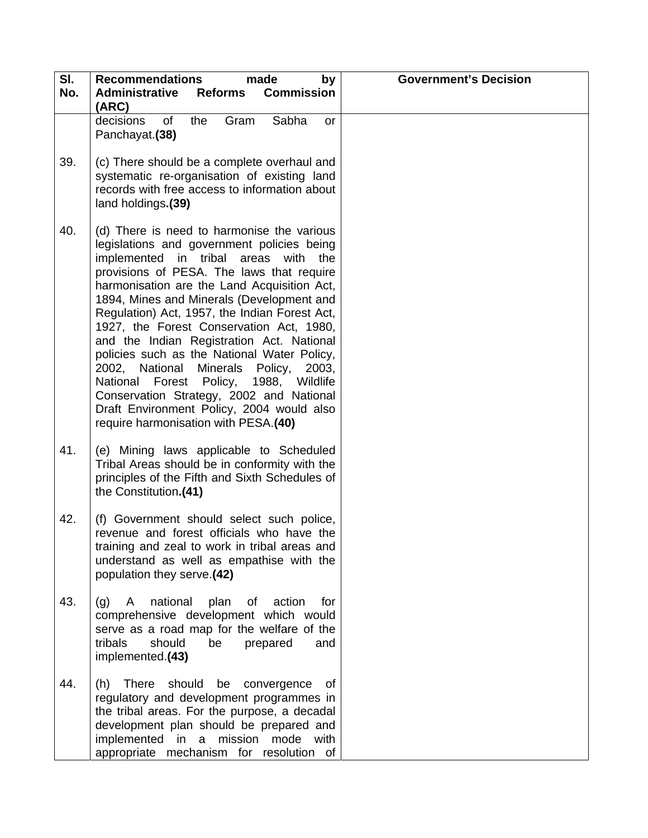| SI.<br>No. | <b>Recommendations</b><br>made<br>by<br><b>Commission</b><br><b>Administrative</b><br><b>Reforms</b><br>(ARC)                                                                                                                                                                                                                                                                                                                                                                                                                                                                                                                                                                                | <b>Government's Decision</b> |
|------------|----------------------------------------------------------------------------------------------------------------------------------------------------------------------------------------------------------------------------------------------------------------------------------------------------------------------------------------------------------------------------------------------------------------------------------------------------------------------------------------------------------------------------------------------------------------------------------------------------------------------------------------------------------------------------------------------|------------------------------|
|            | Sabha<br>decisions<br>the<br>Gram<br>of<br>or<br>Panchayat.(38)                                                                                                                                                                                                                                                                                                                                                                                                                                                                                                                                                                                                                              |                              |
| 39.        | (c) There should be a complete overhaul and<br>systematic re-organisation of existing land<br>records with free access to information about<br>land holdings.(39)                                                                                                                                                                                                                                                                                                                                                                                                                                                                                                                            |                              |
| 40.        | (d) There is need to harmonise the various<br>legislations and government policies being<br>implemented in tribal areas with the<br>provisions of PESA. The laws that require<br>harmonisation are the Land Acquisition Act,<br>1894, Mines and Minerals (Development and<br>Regulation) Act, 1957, the Indian Forest Act,<br>1927, the Forest Conservation Act, 1980,<br>and the Indian Registration Act. National<br>policies such as the National Water Policy,<br>2002, National Minerals Policy,<br>2003,<br>National Forest Policy, 1988,<br>Wildlife<br>Conservation Strategy, 2002 and National<br>Draft Environment Policy, 2004 would also<br>require harmonisation with PESA.(40) |                              |
| 41.        | (e) Mining laws applicable to Scheduled<br>Tribal Areas should be in conformity with the<br>principles of the Fifth and Sixth Schedules of<br>the Constitution.(41)                                                                                                                                                                                                                                                                                                                                                                                                                                                                                                                          |                              |
| 42.        | (f) Government should select such police,<br>revenue and forest officials who have the<br>training and zeal to work in tribal areas and<br>understand as well as empathise with the<br>population they serve.(42)                                                                                                                                                                                                                                                                                                                                                                                                                                                                            |                              |
| 43.        | national<br>plan<br>(g)<br>A<br>of<br>action<br>for<br>comprehensive development which would<br>serve as a road map for the welfare of the<br>tribals<br>should<br>be<br>prepared<br>and<br>implemented.(43)                                                                                                                                                                                                                                                                                                                                                                                                                                                                                 |                              |
| 44.        | (h) There should<br>be convergence<br>of<br>regulatory and development programmes in<br>the tribal areas. For the purpose, a decadal<br>development plan should be prepared and<br>implemented<br>mode<br>in<br>mission<br>with<br>a<br>appropriate mechanism for resolution of                                                                                                                                                                                                                                                                                                                                                                                                              |                              |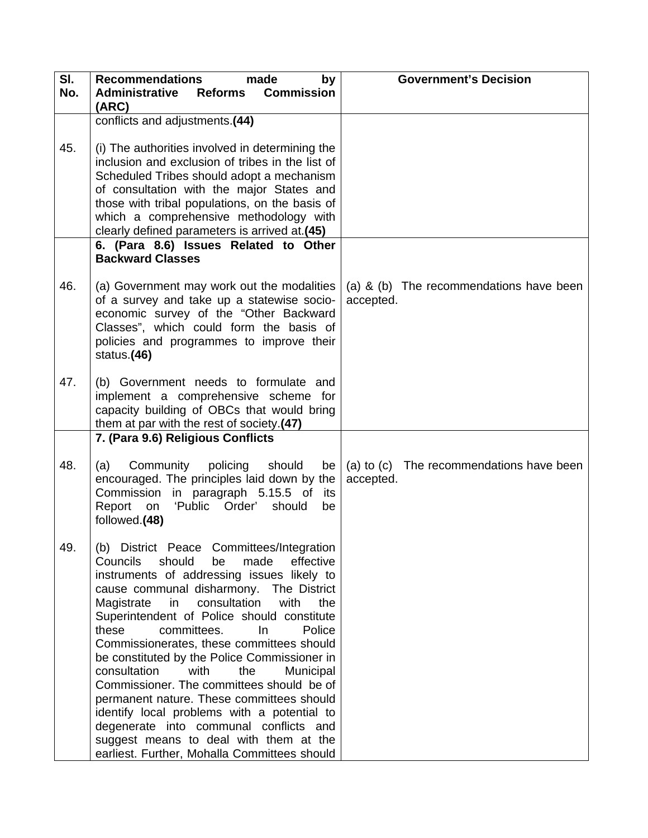| SI.<br>No. | <b>Recommendations</b><br>made<br>by<br><b>Commission</b><br><b>Administrative</b><br><b>Reforms</b><br>(ARC)                                                                                                                                                                                                                                                                                                                                                                                                                                                                                                                                                                                                                                      | <b>Government's Decision</b>                          |
|------------|----------------------------------------------------------------------------------------------------------------------------------------------------------------------------------------------------------------------------------------------------------------------------------------------------------------------------------------------------------------------------------------------------------------------------------------------------------------------------------------------------------------------------------------------------------------------------------------------------------------------------------------------------------------------------------------------------------------------------------------------------|-------------------------------------------------------|
|            | conflicts and adjustments.(44)                                                                                                                                                                                                                                                                                                                                                                                                                                                                                                                                                                                                                                                                                                                     |                                                       |
| 45.        | (i) The authorities involved in determining the<br>inclusion and exclusion of tribes in the list of<br>Scheduled Tribes should adopt a mechanism<br>of consultation with the major States and<br>those with tribal populations, on the basis of<br>which a comprehensive methodology with<br>clearly defined parameters is arrived at.(45)                                                                                                                                                                                                                                                                                                                                                                                                         |                                                       |
|            | 6. (Para 8.6) Issues Related to Other<br><b>Backward Classes</b>                                                                                                                                                                                                                                                                                                                                                                                                                                                                                                                                                                                                                                                                                   |                                                       |
| 46.        | (a) Government may work out the modalities<br>of a survey and take up a statewise socio-<br>economic survey of the "Other Backward<br>Classes", which could form the basis of<br>policies and programmes to improve their<br>status.(46)                                                                                                                                                                                                                                                                                                                                                                                                                                                                                                           | (a) & (b) The recommendations have been<br>accepted.  |
| 47.        | (b) Government needs to formulate and<br>implement a comprehensive scheme for<br>capacity building of OBCs that would bring<br>them at par with the rest of society.(47)                                                                                                                                                                                                                                                                                                                                                                                                                                                                                                                                                                           |                                                       |
|            | 7. (Para 9.6) Religious Conflicts                                                                                                                                                                                                                                                                                                                                                                                                                                                                                                                                                                                                                                                                                                                  |                                                       |
| 48.        | Community<br>policing<br>should<br>(a)<br>be l<br>encouraged. The principles laid down by the<br>Commission in paragraph 5.15.5 of its<br>Report on 'Public Order' should<br>be<br>followed.(48)                                                                                                                                                                                                                                                                                                                                                                                                                                                                                                                                                   | (a) to (c) The recommendations have been<br>accepted. |
| 49.        | (b) District Peace Committees/Integration<br>effective<br>Councils<br>should<br>made<br>be<br>instruments of addressing issues likely to<br>cause communal disharmony. The District<br>Magistrate in<br>consultation<br>with<br>the<br>Superintendent of Police should constitute<br>these<br>committees.<br>$\ln$<br>Police<br>Commissionerates, these committees should<br>be constituted by the Police Commissioner in<br>consultation<br>with<br>the<br>Municipal<br>Commissioner. The committees should be of<br>permanent nature. These committees should<br>identify local problems with a potential to<br>degenerate into communal conflicts and<br>suggest means to deal with them at the<br>earliest. Further, Mohalla Committees should |                                                       |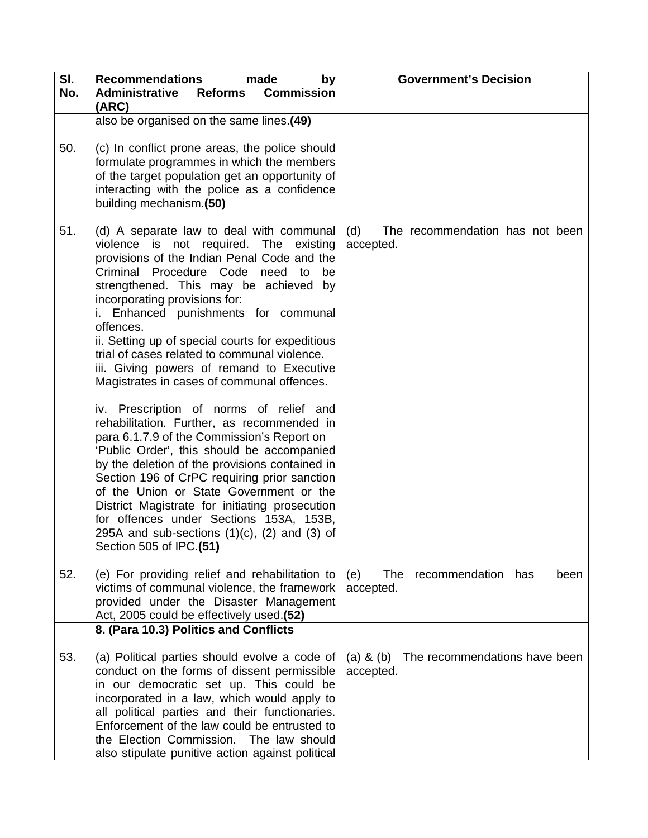| SI.<br>No. | <b>Recommendations</b><br>made<br>by<br><b>Administrative</b><br><b>Commission</b><br><b>Reforms</b>                                                                                                                                                                                                                                                                                                                                                                                                                                                                                                                                            | <b>Government's Decision</b>                                |
|------------|-------------------------------------------------------------------------------------------------------------------------------------------------------------------------------------------------------------------------------------------------------------------------------------------------------------------------------------------------------------------------------------------------------------------------------------------------------------------------------------------------------------------------------------------------------------------------------------------------------------------------------------------------|-------------------------------------------------------------|
|            | (ARC)                                                                                                                                                                                                                                                                                                                                                                                                                                                                                                                                                                                                                                           |                                                             |
|            | also be organised on the same lines.(49)                                                                                                                                                                                                                                                                                                                                                                                                                                                                                                                                                                                                        |                                                             |
| 50.        | (c) In conflict prone areas, the police should<br>formulate programmes in which the members<br>of the target population get an opportunity of<br>interacting with the police as a confidence<br>building mechanism.(50)                                                                                                                                                                                                                                                                                                                                                                                                                         |                                                             |
| 51.        | (d) A separate law to deal with communal<br>violence is not required. The existing<br>provisions of the Indian Penal Code and the<br>Criminal Procedure Code need to<br>be<br>strengthened. This may be achieved by<br>incorporating provisions for:<br>i. Enhanced punishments for communal<br>offences.<br>ii. Setting up of special courts for expeditious<br>trial of cases related to communal violence.<br>iii. Giving powers of remand to Executive<br>Magistrates in cases of communal offences.<br>iv. Prescription of norms of relief and<br>rehabilitation. Further, as recommended in<br>para 6.1.7.9 of the Commission's Report on | (d)<br>The recommendation has not been<br>accepted.         |
|            | 'Public Order', this should be accompanied<br>by the deletion of the provisions contained in<br>Section 196 of CrPC requiring prior sanction<br>of the Union or State Government or the<br>District Magistrate for initiating prosecution<br>for offences under Sections 153A, 153B,<br>295A and sub-sections $(1)(c)$ , $(2)$ and $(3)$ of<br>Section 505 of IPC.(51)                                                                                                                                                                                                                                                                          |                                                             |
| 52.        | (e) For providing relief and rehabilitation to<br>victims of communal violence, the framework<br>provided under the Disaster Management<br>Act, 2005 could be effectively used.(52)                                                                                                                                                                                                                                                                                                                                                                                                                                                             | (e)<br>The<br>recommendation<br>has<br>been<br>accepted.    |
|            | 8. (Para 10.3) Politics and Conflicts                                                                                                                                                                                                                                                                                                                                                                                                                                                                                                                                                                                                           |                                                             |
| 53.        | (a) Political parties should evolve a code of<br>conduct on the forms of dissent permissible<br>in our democratic set up. This could be<br>incorporated in a law, which would apply to<br>all political parties and their functionaries.<br>Enforcement of the law could be entrusted to<br>the Election Commission. The law should<br>also stipulate punitive action against political                                                                                                                                                                                                                                                         | The recommendations have been<br>$(a)$ & $(b)$<br>accepted. |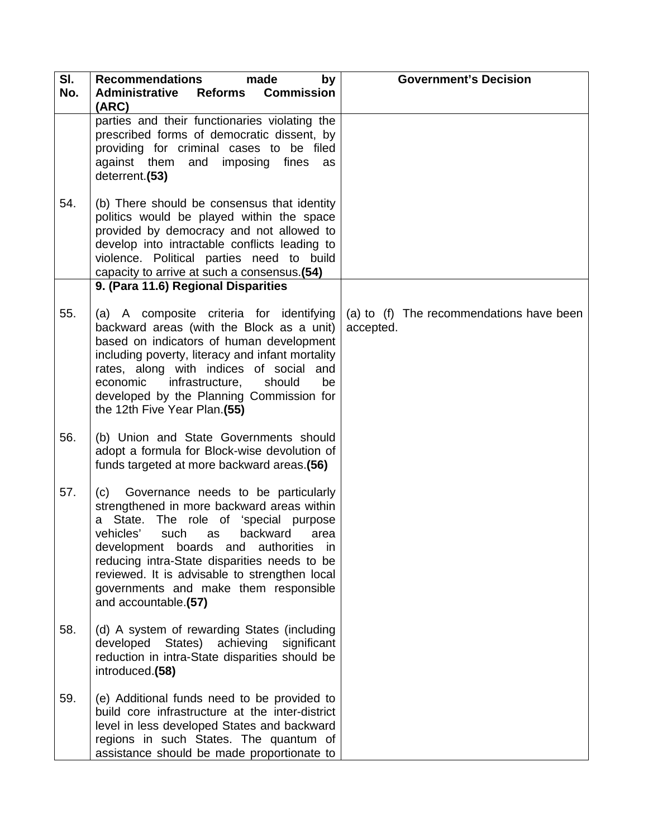| SI.<br>No. | <b>Recommendations</b><br>made<br>by<br><b>Commission</b><br><b>Administrative</b><br><b>Reforms</b><br>(ARC)                                                                                                                                                                                                                                                                            | <b>Government's Decision</b>                          |
|------------|------------------------------------------------------------------------------------------------------------------------------------------------------------------------------------------------------------------------------------------------------------------------------------------------------------------------------------------------------------------------------------------|-------------------------------------------------------|
|            | parties and their functionaries violating the<br>prescribed forms of democratic dissent, by<br>providing for criminal cases to be filed<br>against them and<br>imposing fines<br>as<br>deterrent.(53)                                                                                                                                                                                    |                                                       |
| 54.        | (b) There should be consensus that identity<br>politics would be played within the space<br>provided by democracy and not allowed to<br>develop into intractable conflicts leading to<br>violence. Political parties need to build<br>capacity to arrive at such a consensus.(54)                                                                                                        |                                                       |
|            | 9. (Para 11.6) Regional Disparities                                                                                                                                                                                                                                                                                                                                                      |                                                       |
| 55.        | (a) A composite criteria for identifying<br>backward areas (with the Block as a unit)<br>based on indicators of human development<br>including poverty, literacy and infant mortality<br>rates, along with indices of social and<br>economic<br>infrastructure,<br>should<br>be<br>developed by the Planning Commission for<br>the 12th Five Year Plan.(55)                              | (a) to (f) The recommendations have been<br>accepted. |
| 56.        | (b) Union and State Governments should<br>adopt a formula for Block-wise devolution of<br>funds targeted at more backward areas.(56)                                                                                                                                                                                                                                                     |                                                       |
| 57.        | Governance needs to be particularly<br>(c)<br>strengthened in more backward areas within<br>a State. The role of 'special purpose<br>vehicles'<br>such as<br>backward<br>area<br>development boards and authorities in<br>reducing intra-State disparities needs to be<br>reviewed. It is advisable to strengthen local<br>governments and make them responsible<br>and accountable.(57) |                                                       |
| 58.        | (d) A system of rewarding States (including<br>developed States) achieving significant<br>reduction in intra-State disparities should be<br>introduced.(58)                                                                                                                                                                                                                              |                                                       |
| 59.        | (e) Additional funds need to be provided to<br>build core infrastructure at the inter-district<br>level in less developed States and backward<br>regions in such States. The quantum of<br>assistance should be made proportionate to                                                                                                                                                    |                                                       |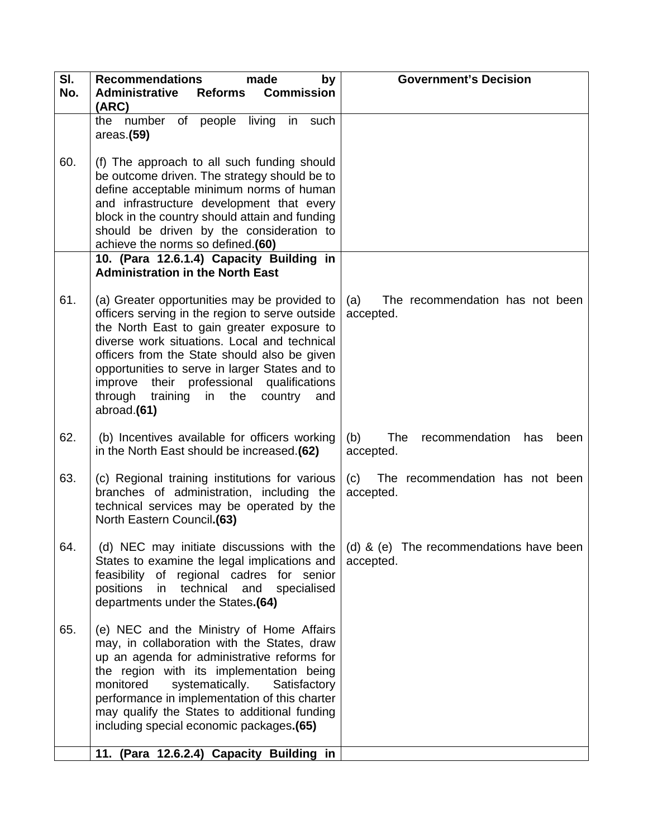| SI. | <b>Recommendations</b><br>made<br>by                                                                                                                                                                                                                                                                                                                                                                     | <b>Government's Decision</b>                                                                           |
|-----|----------------------------------------------------------------------------------------------------------------------------------------------------------------------------------------------------------------------------------------------------------------------------------------------------------------------------------------------------------------------------------------------------------|--------------------------------------------------------------------------------------------------------|
| No. | <b>Administrative Reforms Commission</b><br>(ARC)                                                                                                                                                                                                                                                                                                                                                        |                                                                                                        |
|     | the number of people living in such<br>area: (59)                                                                                                                                                                                                                                                                                                                                                        |                                                                                                        |
| 60. | (f) The approach to all such funding should<br>be outcome driven. The strategy should be to<br>define acceptable minimum norms of human<br>and infrastructure development that every<br>block in the country should attain and funding<br>should be driven by the consideration to<br>achieve the norms so defined.(60)                                                                                  |                                                                                                        |
|     | 10. (Para 12.6.1.4) Capacity Building in<br><b>Administration in the North East</b>                                                                                                                                                                                                                                                                                                                      |                                                                                                        |
| 61. | (a) Greater opportunities may be provided to<br>officers serving in the region to serve outside<br>the North East to gain greater exposure to<br>diverse work situations. Local and technical<br>officers from the State should also be given<br>opportunities to serve in larger States and to<br>improve their professional qualifications<br>through training in the<br>country<br>and<br>abroad.(61) | The recommendation has not been<br>(a)<br>accepted.                                                    |
| 62. | (b) Incentives available for officers working<br>in the North East should be increased.(62)                                                                                                                                                                                                                                                                                                              | The<br>(b)<br>recommendation<br>has<br>been<br>accepted.                                               |
| 63. | (c) Regional training institutions for various<br>branches of administration, including the<br>technical services may be operated by the<br>North Eastern Council.(63)                                                                                                                                                                                                                                   | (c) The recommendation has not been<br>accepted.                                                       |
| 64. | States to examine the legal implications and<br>feasibility of regional cadres for senior<br>positions<br>in technical and specialised<br>departments under the States.(64)                                                                                                                                                                                                                              | (d) NEC may initiate discussions with the $\vert$ (d) & (e) The recommendations have been<br>accepted. |
| 65. | (e) NEC and the Ministry of Home Affairs<br>may, in collaboration with the States, draw<br>up an agenda for administrative reforms for<br>the region with its implementation being<br>monitored<br>systematically.<br>Satisfactory<br>performance in implementation of this charter<br>may qualify the States to additional funding<br>including special economic packages.(65)                          |                                                                                                        |
|     | 11. (Para 12.6.2.4) Capacity Building in                                                                                                                                                                                                                                                                                                                                                                 |                                                                                                        |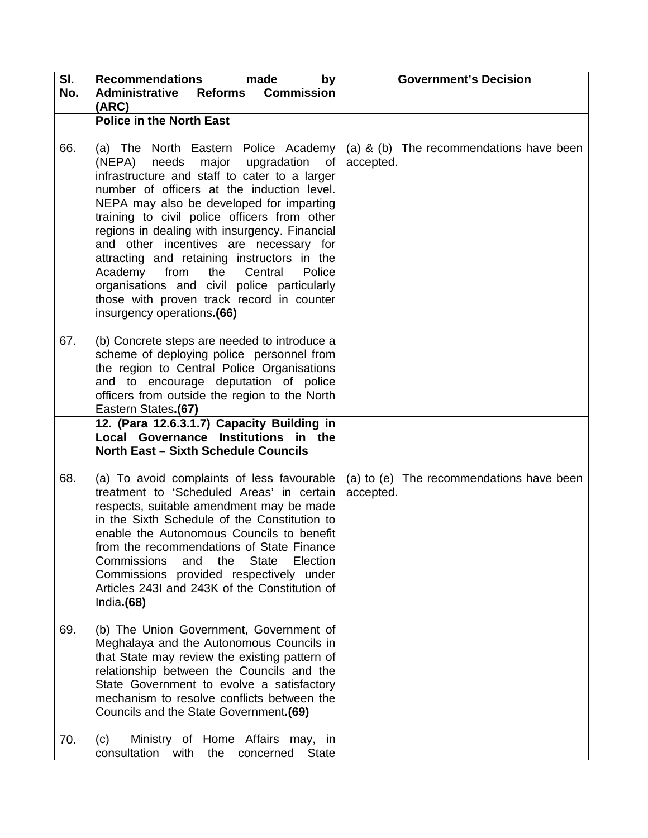| SI.<br>No. | <b>Recommendations</b><br>made<br>by<br><b>Administrative Reforms Commission</b><br>(ARC)                                                                                                                                                                                                                                                                                                                                                                                                                                                                                                  | <b>Government's Decision</b>                          |
|------------|--------------------------------------------------------------------------------------------------------------------------------------------------------------------------------------------------------------------------------------------------------------------------------------------------------------------------------------------------------------------------------------------------------------------------------------------------------------------------------------------------------------------------------------------------------------------------------------------|-------------------------------------------------------|
|            | <b>Police in the North East</b>                                                                                                                                                                                                                                                                                                                                                                                                                                                                                                                                                            |                                                       |
| 66.        | (a) The North Eastern Police Academy<br>needs<br>major<br>upgradation<br>(NEPA)<br>of<br>infrastructure and staff to cater to a larger<br>number of officers at the induction level.<br>NEPA may also be developed for imparting<br>training to civil police officers from other<br>regions in dealing with insurgency. Financial<br>and other incentives are necessary for<br>attracting and retaining instructors in the<br>Academy from the Central<br>Police<br>organisations and civil police particularly<br>those with proven track record in counter<br>insurgency operations.(66) | (a) & (b) The recommendations have been<br>accepted.  |
| 67.        | (b) Concrete steps are needed to introduce a<br>scheme of deploying police personnel from<br>the region to Central Police Organisations<br>and to encourage deputation of police<br>officers from outside the region to the North<br>Eastern States.(67)                                                                                                                                                                                                                                                                                                                                   |                                                       |
|            | 12. (Para 12.6.3.1.7) Capacity Building in<br>Local Governance Institutions in the<br><b>North East - Sixth Schedule Councils</b>                                                                                                                                                                                                                                                                                                                                                                                                                                                          |                                                       |
| 68.        | (a) To avoid complaints of less favourable<br>treatment to 'Scheduled Areas' in certain<br>respects, suitable amendment may be made<br>in the Sixth Schedule of the Constitution to<br>enable the Autonomous Councils to benefit<br>from the recommendations of State Finance<br><b>State</b><br>Commissions<br>the<br>Election<br>and<br>Commissions provided respectively under<br>Articles 243I and 243K of the Constitution of<br>India. $(68)$                                                                                                                                        | (a) to (e) The recommendations have been<br>accepted. |
| 69.        | (b) The Union Government, Government of<br>Meghalaya and the Autonomous Councils in<br>that State may review the existing pattern of<br>relationship between the Councils and the<br>State Government to evolve a satisfactory<br>mechanism to resolve conflicts between the<br>Councils and the State Government.(69)                                                                                                                                                                                                                                                                     |                                                       |
| 70.        | Ministry of Home Affairs may, in<br>(c)<br>consultation<br>State<br>with<br>the<br>concerned                                                                                                                                                                                                                                                                                                                                                                                                                                                                                               |                                                       |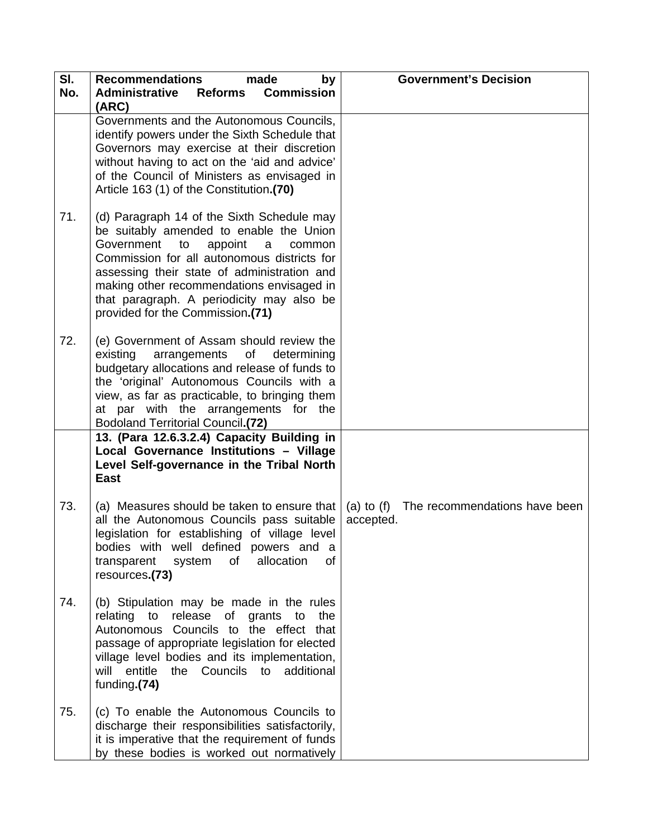| SI.<br>No. | <b>Recommendations</b><br>made<br>by<br><b>Commission</b><br><b>Administrative</b><br>Reforms<br>(ARC)                                                                                                                                                                                                                                                          | <b>Government's Decision</b>                          |
|------------|-----------------------------------------------------------------------------------------------------------------------------------------------------------------------------------------------------------------------------------------------------------------------------------------------------------------------------------------------------------------|-------------------------------------------------------|
|            | Governments and the Autonomous Councils,<br>identify powers under the Sixth Schedule that<br>Governors may exercise at their discretion<br>without having to act on the 'aid and advice'<br>of the Council of Ministers as envisaged in<br>Article 163 (1) of the Constitution.(70)                                                                             |                                                       |
| 71.        | (d) Paragraph 14 of the Sixth Schedule may<br>be suitably amended to enable the Union<br>Government<br>appoint<br>to<br>a<br>common<br>Commission for all autonomous districts for<br>assessing their state of administration and<br>making other recommendations envisaged in<br>that paragraph. A periodicity may also be<br>provided for the Commission.(71) |                                                       |
| 72.        | (e) Government of Assam should review the<br>arrangements of determining<br>existing<br>budgetary allocations and release of funds to<br>the 'original' Autonomous Councils with a<br>view, as far as practicable, to bringing them<br>at par with the arrangements for the<br><b>Bodoland Territorial Council.(72)</b>                                         |                                                       |
|            | 13. (Para 12.6.3.2.4) Capacity Building in<br>Local Governance Institutions - Village<br>Level Self-governance in the Tribal North<br><b>East</b>                                                                                                                                                                                                               |                                                       |
| 73.        | (a) Measures should be taken to ensure that<br>all the Autonomous Councils pass suitable<br>legislation for establishing of village level<br>bodies with well defined powers and a<br>allocation<br>of<br>οf<br>transparent<br>system<br>resources.(73)                                                                                                         | (a) to (f) The recommendations have been<br>accepted. |
| 74.        | (b) Stipulation may be made in the rules<br>relating to release of grants to<br>the<br>Autonomous Councils to the effect that<br>passage of appropriate legislation for elected<br>village level bodies and its implementation,<br>will entitle<br>the Councils to additional<br>funding.(74)                                                                   |                                                       |
| 75.        | (c) To enable the Autonomous Councils to<br>discharge their responsibilities satisfactorily,<br>it is imperative that the requirement of funds<br>by these bodies is worked out normatively                                                                                                                                                                     |                                                       |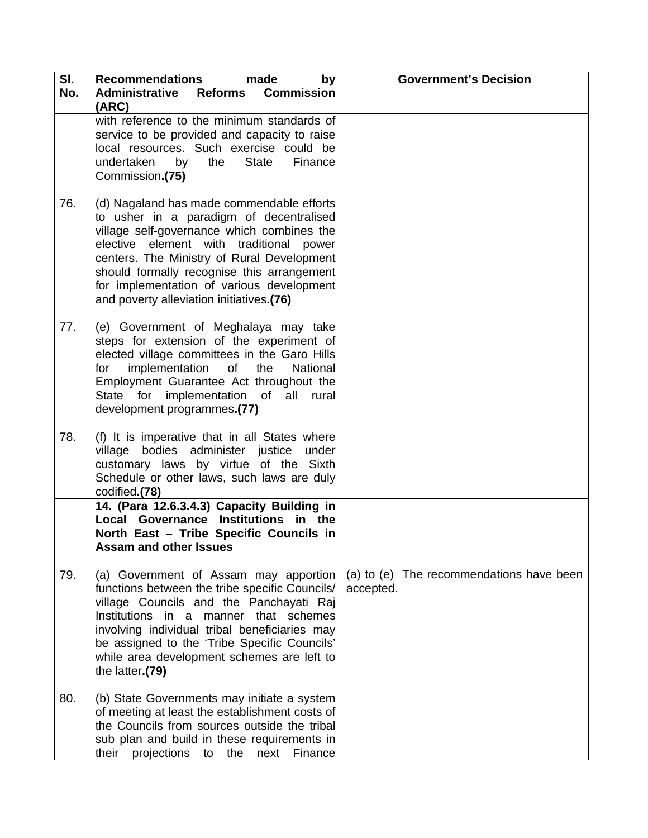| SI.<br>No. | <b>Recommendations</b><br>made<br>by<br><b>Administrative Reforms Commission</b><br>(ARC)                                                                                                                                                                                                                                                                          | <b>Government's Decision</b>                          |
|------------|--------------------------------------------------------------------------------------------------------------------------------------------------------------------------------------------------------------------------------------------------------------------------------------------------------------------------------------------------------------------|-------------------------------------------------------|
|            | with reference to the minimum standards of<br>service to be provided and capacity to raise<br>local resources. Such exercise could be<br>undertaken<br>the<br><b>State</b><br>Finance<br>by<br>Commission.(75)                                                                                                                                                     |                                                       |
| 76.        | (d) Nagaland has made commendable efforts<br>to usher in a paradigm of decentralised<br>village self-governance which combines the<br>elective element with traditional power<br>centers. The Ministry of Rural Development<br>should formally recognise this arrangement<br>for implementation of various development<br>and poverty alleviation initiatives.(76) |                                                       |
| 77.        | (e) Government of Meghalaya may take<br>steps for extension of the experiment of<br>elected village committees in the Garo Hills<br>for implementation of<br>the<br>National<br>Employment Guarantee Act throughout the<br>State for implementation of all rural<br>development programmes.(77)                                                                    |                                                       |
| 78.        | (f) It is imperative that in all States where<br>village bodies administer justice under<br>customary laws by virtue of the Sixth<br>Schedule or other laws, such laws are duly<br>codified.(78)                                                                                                                                                                   |                                                       |
|            | 14. (Para 12.6.3.4.3) Capacity Building in<br>Local Governance Institutions in the<br>North East - Tribe Specific Councils in<br><b>Assam and other Issues</b>                                                                                                                                                                                                     |                                                       |
| 79.        | (a) Government of Assam may apportion<br>functions between the tribe specific Councils/<br>village Councils and the Panchayati Raj<br>Institutions in a manner that schemes<br>involving individual tribal beneficiaries may<br>be assigned to the 'Tribe Specific Councils'<br>while area development schemes are left to<br>the latter.(79)                      | (a) to (e) The recommendations have been<br>accepted. |
| 80.        | (b) State Governments may initiate a system<br>of meeting at least the establishment costs of<br>the Councils from sources outside the tribal<br>sub plan and build in these requirements in<br>their projections<br>the<br>Finance<br>to<br>next                                                                                                                  |                                                       |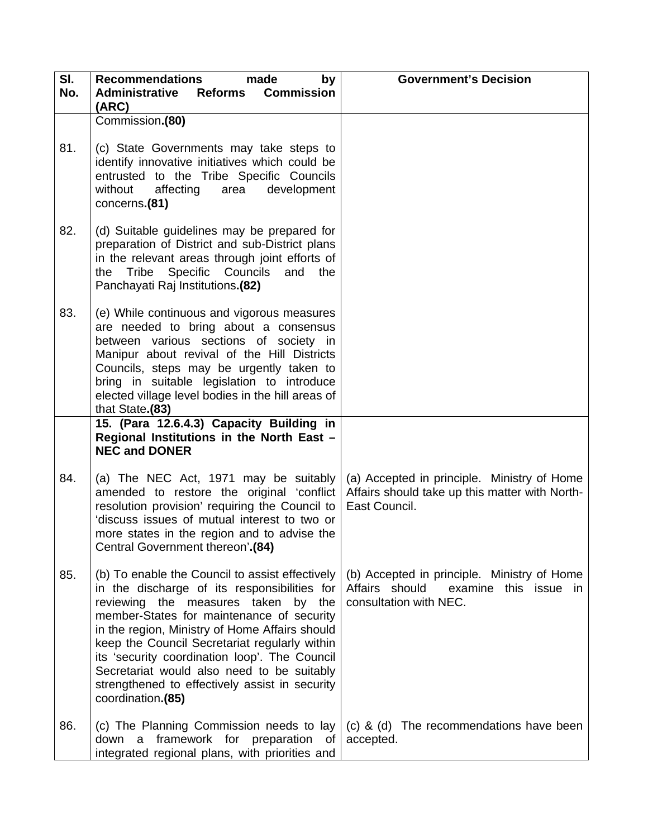| SI.<br>No. | <b>Recommendations</b><br>made<br>by<br><b>Administrative Reforms Commission</b>                                                                                                                                                                                                                                                                                                                                                                             | <b>Government's Decision</b>                                                                                     |
|------------|--------------------------------------------------------------------------------------------------------------------------------------------------------------------------------------------------------------------------------------------------------------------------------------------------------------------------------------------------------------------------------------------------------------------------------------------------------------|------------------------------------------------------------------------------------------------------------------|
|            | (ARC)<br>Commission.(80)                                                                                                                                                                                                                                                                                                                                                                                                                                     |                                                                                                                  |
| 81.        | (c) State Governments may take steps to<br>identify innovative initiatives which could be<br>entrusted to the Tribe Specific Councils<br>without affecting<br>development<br>area<br>concerns.(81)                                                                                                                                                                                                                                                           |                                                                                                                  |
| 82.        | (d) Suitable guidelines may be prepared for<br>preparation of District and sub-District plans<br>in the relevant areas through joint efforts of<br>the Tribe Specific Councils<br>and<br>the<br>Panchayati Raj Institutions.(82)                                                                                                                                                                                                                             |                                                                                                                  |
| 83.        | (e) While continuous and vigorous measures<br>are needed to bring about a consensus<br>between various sections of society in<br>Manipur about revival of the Hill Districts<br>Councils, steps may be urgently taken to<br>bring in suitable legislation to introduce<br>elected village level bodies in the hill areas of<br>that State.(83)                                                                                                               |                                                                                                                  |
|            | 15. (Para 12.6.4.3) Capacity Building in<br>Regional Institutions in the North East -<br><b>NEC and DONER</b>                                                                                                                                                                                                                                                                                                                                                |                                                                                                                  |
| 84.        | (a) The NEC Act, 1971 may be suitably<br>amended to restore the original 'conflict<br>resolution provision' requiring the Council to<br>'discuss issues of mutual interest to two or<br>more states in the region and to advise the<br>Central Government thereon'.(84)                                                                                                                                                                                      | (a) Accepted in principle. Ministry of Home<br>Affairs should take up this matter with North-<br>East Council.   |
| 85.        | (b) To enable the Council to assist effectively<br>in the discharge of its responsibilities for<br>reviewing the measures taken by the<br>member-States for maintenance of security<br>in the region, Ministry of Home Affairs should<br>keep the Council Secretariat regularly within<br>its 'security coordination loop'. The Council<br>Secretariat would also need to be suitably<br>strengthened to effectively assist in security<br>coordination.(85) | (b) Accepted in principle. Ministry of Home<br>Affairs should<br>examine this issue in<br>consultation with NEC. |
| 86.        | (c) The Planning Commission needs to lay<br>framework for preparation<br>down a<br>of<br>integrated regional plans, with priorities and                                                                                                                                                                                                                                                                                                                      | (c) & (d) The recommendations have been<br>accepted.                                                             |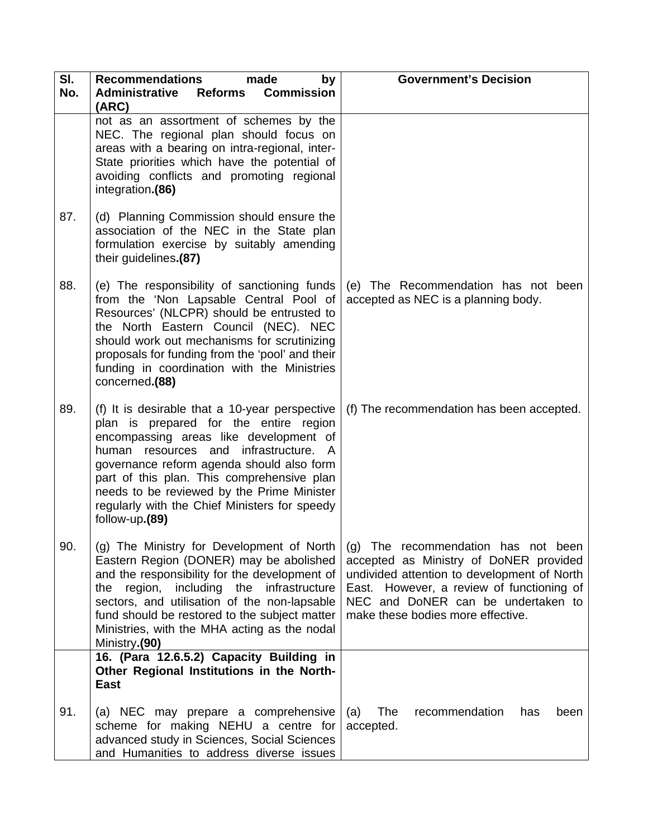| SI.<br>No. | <b>Recommendations</b><br>made<br>by<br><b>Commission</b><br><b>Administrative</b><br><b>Reforms</b><br>(ARC)                                                                                                                                                                                                                                                                           | <b>Government's Decision</b>                                                                                                                                                                                                                         |
|------------|-----------------------------------------------------------------------------------------------------------------------------------------------------------------------------------------------------------------------------------------------------------------------------------------------------------------------------------------------------------------------------------------|------------------------------------------------------------------------------------------------------------------------------------------------------------------------------------------------------------------------------------------------------|
|            | not as an assortment of schemes by the<br>NEC. The regional plan should focus on<br>areas with a bearing on intra-regional, inter-<br>State priorities which have the potential of<br>avoiding conflicts and promoting regional<br>integration.(86)                                                                                                                                     |                                                                                                                                                                                                                                                      |
| 87.        | (d) Planning Commission should ensure the<br>association of the NEC in the State plan<br>formulation exercise by suitably amending<br>their guidelines.(87)                                                                                                                                                                                                                             |                                                                                                                                                                                                                                                      |
| 88.        | (e) The responsibility of sanctioning funds<br>from the 'Non Lapsable Central Pool of<br>Resources' (NLCPR) should be entrusted to<br>the North Eastern Council (NEC). NEC<br>should work out mechanisms for scrutinizing<br>proposals for funding from the 'pool' and their<br>funding in coordination with the Ministries<br>concerned.(88)                                           | (e) The Recommendation has not been<br>accepted as NEC is a planning body.                                                                                                                                                                           |
| 89.        | (f) It is desirable that a 10-year perspective<br>plan is prepared for the entire region<br>encompassing areas like development of<br>human resources and infrastructure. A<br>governance reform agenda should also form<br>part of this plan. This comprehensive plan<br>needs to be reviewed by the Prime Minister<br>regularly with the Chief Ministers for speedy<br>follow-up.(89) | (f) The recommendation has been accepted.                                                                                                                                                                                                            |
| 90.        | (g) The Ministry for Development of North<br>Eastern Region (DONER) may be abolished<br>and the responsibility for the development of<br>region, including the<br>infrastructure<br>the<br>sectors, and utilisation of the non-lapsable<br>fund should be restored to the subject matter<br>Ministries, with the MHA acting as the nodal<br>Ministry.(90)                               | (g) The recommendation has not been<br>accepted as Ministry of DoNER provided<br>undivided attention to development of North<br>East. However, a review of functioning of<br>NEC and DoNER can be undertaken to<br>make these bodies more effective. |
|            | 16. (Para 12.6.5.2) Capacity Building in<br>Other Regional Institutions in the North-<br>East                                                                                                                                                                                                                                                                                           |                                                                                                                                                                                                                                                      |
| 91.        | (a) NEC may prepare a comprehensive<br>scheme for making NEHU a centre for<br>advanced study in Sciences, Social Sciences<br>and Humanities to address diverse issues                                                                                                                                                                                                                   | The<br>recommendation<br>(a)<br>has<br>been<br>accepted.                                                                                                                                                                                             |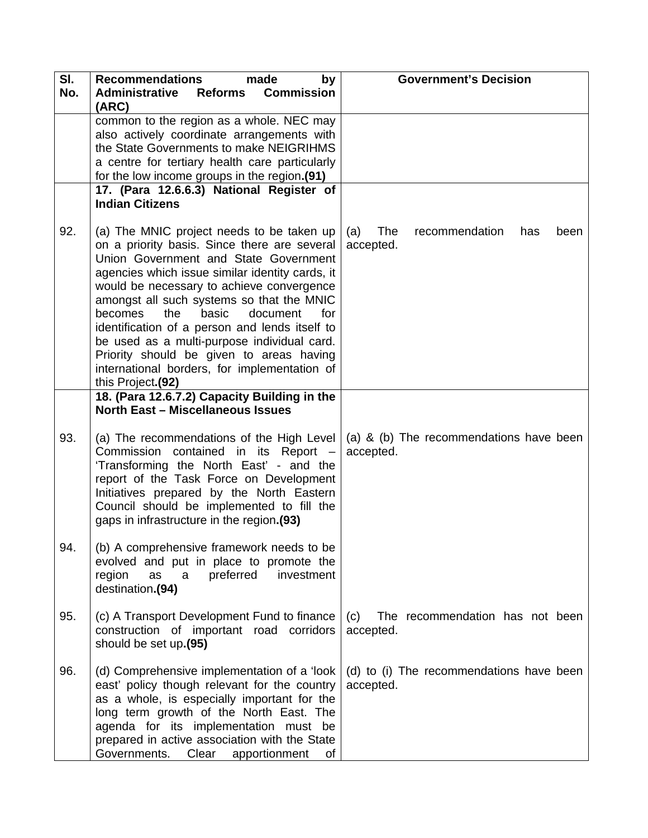| SI.<br>No. | <b>Recommendations</b><br>made<br>by<br><b>Administrative Reforms</b><br><b>Commission</b><br>(ARC)                                                                                                                                                                                                                                                                                                                                                                                                                                             | <b>Government's Decision</b>                             |
|------------|-------------------------------------------------------------------------------------------------------------------------------------------------------------------------------------------------------------------------------------------------------------------------------------------------------------------------------------------------------------------------------------------------------------------------------------------------------------------------------------------------------------------------------------------------|----------------------------------------------------------|
|            | common to the region as a whole. NEC may<br>also actively coordinate arrangements with<br>the State Governments to make NEIGRIHMS<br>a centre for tertiary health care particularly<br>for the low income groups in the region.(91)                                                                                                                                                                                                                                                                                                             |                                                          |
|            | 17. (Para 12.6.6.3) National Register of<br><b>Indian Citizens</b>                                                                                                                                                                                                                                                                                                                                                                                                                                                                              |                                                          |
| 92.        | (a) The MNIC project needs to be taken up<br>on a priority basis. Since there are several<br>Union Government and State Government<br>agencies which issue similar identity cards, it<br>would be necessary to achieve convergence<br>amongst all such systems so that the MNIC<br>becomes<br>the<br>basic<br>document<br>for<br>identification of a person and lends itself to<br>be used as a multi-purpose individual card.<br>Priority should be given to areas having<br>international borders, for implementation of<br>this Project.(92) | The<br>(a)<br>recommendation<br>has<br>been<br>accepted. |
|            | 18. (Para 12.6.7.2) Capacity Building in the<br><b>North East - Miscellaneous Issues</b>                                                                                                                                                                                                                                                                                                                                                                                                                                                        |                                                          |
| 93.        | (a) The recommendations of the High Level<br>Commission contained in its Report -<br>'Transforming the North East' - and the<br>report of the Task Force on Development<br>Initiatives prepared by the North Eastern<br>Council should be implemented to fill the<br>gaps in infrastructure in the region.(93)                                                                                                                                                                                                                                  | (a) & (b) The recommendations have been<br>accepted.     |
| 94.        | (b) A comprehensive framework needs to be<br>evolved and put in place to promote the<br>region<br>preferred<br>investment<br>as<br>a<br>destination.(94)                                                                                                                                                                                                                                                                                                                                                                                        |                                                          |
| 95.        | (c) A Transport Development Fund to finance<br>construction of important road corridors<br>should be set up.(95)                                                                                                                                                                                                                                                                                                                                                                                                                                | (c)<br>The recommendation has not been<br>accepted.      |
| 96.        | (d) Comprehensive implementation of a 'look<br>east' policy though relevant for the country<br>as a whole, is especially important for the<br>long term growth of the North East. The<br>agenda for its implementation must be<br>prepared in active association with the State<br>Governments.<br>Clear<br>apportionment<br>of                                                                                                                                                                                                                 | (d) to (i) The recommendations have been<br>accepted.    |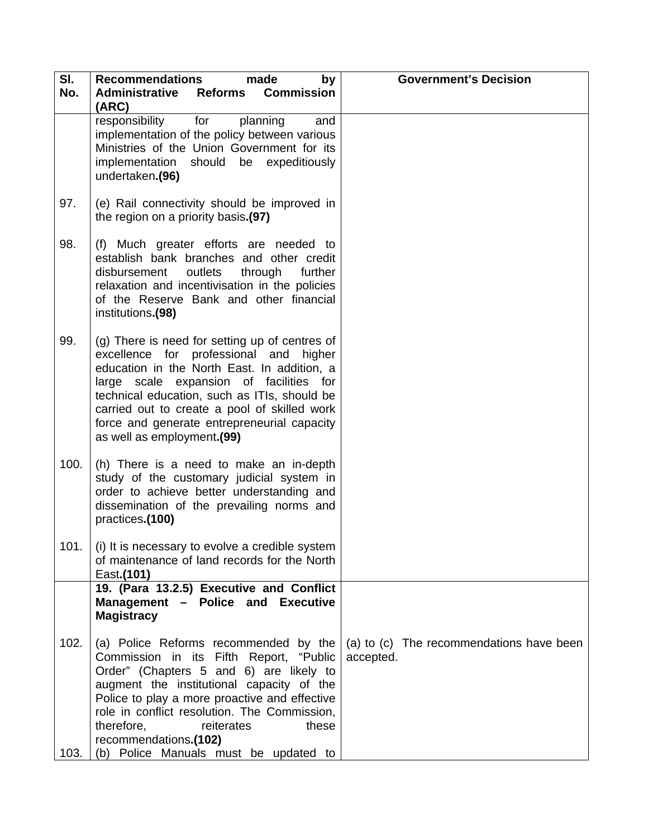| SI.<br>No.   | <b>Recommendations</b><br>made<br>by<br><b>Administrative Reforms Commission</b><br>(ARC)                                                                                                                                                                                                                                                                                        | <b>Government's Decision</b>                          |
|--------------|----------------------------------------------------------------------------------------------------------------------------------------------------------------------------------------------------------------------------------------------------------------------------------------------------------------------------------------------------------------------------------|-------------------------------------------------------|
|              | for<br>responsibility<br>planning<br>and<br>implementation of the policy between various<br>Ministries of the Union Government for its<br>implementation should be expeditiously<br>undertaken.(96)                                                                                                                                                                              |                                                       |
| 97.          | (e) Rail connectivity should be improved in<br>the region on a priority basis.(97)                                                                                                                                                                                                                                                                                               |                                                       |
| 98.          | (f) Much greater efforts are needed to<br>establish bank branches and other credit<br>outlets<br>disbursement<br>through<br>further<br>relaxation and incentivisation in the policies<br>of the Reserve Bank and other financial<br>institutions.(98)                                                                                                                            |                                                       |
| 99.          | (g) There is need for setting up of centres of<br>excellence for professional and higher<br>education in the North East. In addition, a<br>large scale expansion of facilities for<br>technical education, such as ITIs, should be<br>carried out to create a pool of skilled work<br>force and generate entrepreneurial capacity<br>as well as employment.(99)                  |                                                       |
| 100.         | (h) There is a need to make an in-depth<br>study of the customary judicial system in<br>order to achieve better understanding and<br>dissemination of the prevailing norms and<br>practices.(100)                                                                                                                                                                                |                                                       |
| 101.         | (i) It is necessary to evolve a credible system<br>of maintenance of land records for the North<br>East.(101)                                                                                                                                                                                                                                                                    |                                                       |
|              | 19. (Para 13.2.5) Executive and Conflict<br>Management - Police and Executive<br><b>Magistracy</b>                                                                                                                                                                                                                                                                               |                                                       |
| 102.<br>103. | (a) Police Reforms recommended by the<br>Commission in its Fifth Report, "Public<br>Order" (Chapters 5 and 6) are likely to<br>augment the institutional capacity of the<br>Police to play a more proactive and effective<br>role in conflict resolution. The Commission,<br>therefore,<br>reiterates<br>these<br>recommendations.(102)<br>(b) Police Manuals must be updated to | (a) to (c) The recommendations have been<br>accepted. |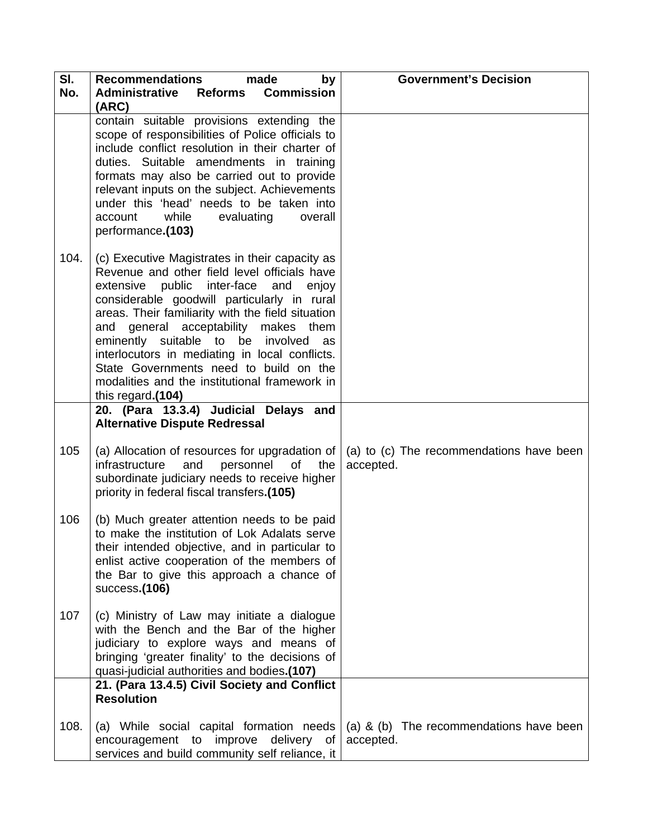| SI.<br>No. | <b>Recommendations</b><br>made<br>by<br><b>Administrative Reforms Commission</b>                                                                                                                                                                                                                                                                                                                                                                                                                 | <b>Government's Decision</b>                          |
|------------|--------------------------------------------------------------------------------------------------------------------------------------------------------------------------------------------------------------------------------------------------------------------------------------------------------------------------------------------------------------------------------------------------------------------------------------------------------------------------------------------------|-------------------------------------------------------|
|            | (ARC)<br>contain suitable provisions extending the<br>scope of responsibilities of Police officials to<br>include conflict resolution in their charter of<br>duties. Suitable amendments in training<br>formats may also be carried out to provide<br>relevant inputs on the subject. Achievements<br>under this 'head' needs to be taken into<br>while<br>overall<br>account<br>evaluating<br>performance.(103)                                                                                 |                                                       |
| 104.       | (c) Executive Magistrates in their capacity as<br>Revenue and other field level officials have<br>extensive public inter-face and enjoy<br>considerable goodwill particularly in rural<br>areas. Their familiarity with the field situation<br>and general acceptability makes them<br>eminently suitable to be involved<br>as<br>interlocutors in mediating in local conflicts.<br>State Governments need to build on the<br>modalities and the institutional framework in<br>this regard.(104) |                                                       |
|            | 20. (Para 13.3.4) Judicial Delays and<br><b>Alternative Dispute Redressal</b>                                                                                                                                                                                                                                                                                                                                                                                                                    |                                                       |
| 105        | (a) Allocation of resources for upgradation of<br>and<br>infrastructure<br>personnel<br>of<br>the<br>subordinate judiciary needs to receive higher<br>priority in federal fiscal transfers.(105)                                                                                                                                                                                                                                                                                                 | (a) to (c) The recommendations have been<br>accepted. |
| 106        | (b) Much greater attention needs to be paid<br>to make the institution of Lok Adalats serve<br>their intended objective, and in particular to<br>enlist active cooperation of the members of<br>the Bar to give this approach a chance of<br>success.(106)                                                                                                                                                                                                                                       |                                                       |
| 107        | (c) Ministry of Law may initiate a dialogue<br>with the Bench and the Bar of the higher<br>judiciary to explore ways and means of<br>bringing 'greater finality' to the decisions of<br>quasi-judicial authorities and bodies.(107)                                                                                                                                                                                                                                                              |                                                       |
|            | 21. (Para 13.4.5) Civil Society and Conflict<br><b>Resolution</b>                                                                                                                                                                                                                                                                                                                                                                                                                                |                                                       |
| 108.       | (a) While social capital formation needs<br>improve<br>delivery of<br>encouragement to<br>services and build community self reliance, it                                                                                                                                                                                                                                                                                                                                                         | (a) & (b) The recommendations have been<br>accepted.  |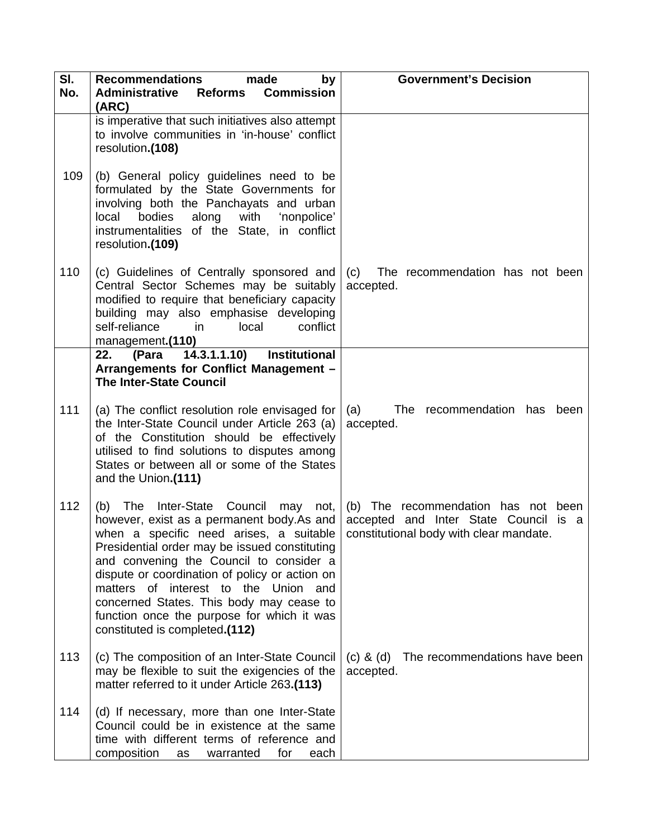| SI.<br>No. | <b>Recommendations</b><br>made<br>by<br><b>Administrative</b><br><b>Commission</b><br><b>Reforms</b><br>(ARC)                                                                                                                                                                                                                                                                                                                                  | <b>Government's Decision</b>                                                                                            |
|------------|------------------------------------------------------------------------------------------------------------------------------------------------------------------------------------------------------------------------------------------------------------------------------------------------------------------------------------------------------------------------------------------------------------------------------------------------|-------------------------------------------------------------------------------------------------------------------------|
|            | is imperative that such initiatives also attempt<br>to involve communities in 'in-house' conflict<br>resolution.(108)                                                                                                                                                                                                                                                                                                                          |                                                                                                                         |
| 109        | (b) General policy guidelines need to be<br>formulated by the State Governments for<br>involving both the Panchayats and urban<br>bodies<br>along<br>with<br>'nonpolice'<br>local<br>instrumentalities of the State, in conflict<br>resolution.(109)                                                                                                                                                                                           |                                                                                                                         |
| 110        | (c) Guidelines of Centrally sponsored and<br>Central Sector Schemes may be suitably<br>modified to require that beneficiary capacity<br>building may also emphasise developing<br>self-reliance<br>local<br>conflict<br>in<br>management.(110)                                                                                                                                                                                                 | (c) The recommendation has not been<br>accepted.                                                                        |
|            | (Para 14.3.1.1.10)<br>22.<br>Institutional<br>Arrangements for Conflict Management -                                                                                                                                                                                                                                                                                                                                                           |                                                                                                                         |
|            | <b>The Inter-State Council</b>                                                                                                                                                                                                                                                                                                                                                                                                                 |                                                                                                                         |
| 111        | (a) The conflict resolution role envisaged for<br>the Inter-State Council under Article 263 (a)<br>of the Constitution should be effectively<br>utilised to find solutions to disputes among<br>States or between all or some of the States<br>and the Union.(111)                                                                                                                                                                             | (a)<br>The recommendation has<br>been<br>accepted.                                                                      |
| 112        | (b) The Inter-State Council may not,<br>however, exist as a permanent body.As and<br>when a specific need arises, a suitable<br>Presidential order may be issued constituting<br>and convening the Council to consider a<br>dispute or coordination of policy or action on<br>matters of interest to the Union and<br>concerned States. This body may cease to<br>function once the purpose for which it was<br>constituted is completed.(112) | (b) The recommendation has not been<br>accepted and Inter State Council is a<br>constitutional body with clear mandate. |
| 113        | (c) The composition of an Inter-State Council<br>may be flexible to suit the exigencies of the<br>matter referred to it under Article 263.(113)                                                                                                                                                                                                                                                                                                | The recommendations have been<br>$(c)$ & $(d)$<br>accepted.                                                             |
| 114        | (d) If necessary, more than one Inter-State<br>Council could be in existence at the same<br>time with different terms of reference and<br>composition<br>warranted<br>for<br>each<br>as                                                                                                                                                                                                                                                        |                                                                                                                         |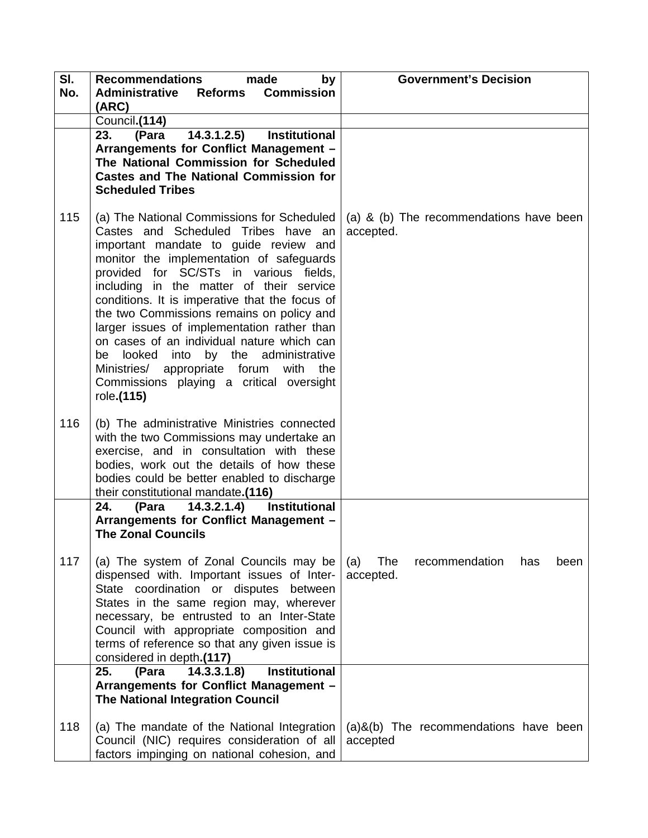| SI. | <b>Recommendations</b><br>made<br>by                                                                                                                                                                                                                                                                                                                                                                                                                                                                                                                                                                       | <b>Government's Decision</b>                             |
|-----|------------------------------------------------------------------------------------------------------------------------------------------------------------------------------------------------------------------------------------------------------------------------------------------------------------------------------------------------------------------------------------------------------------------------------------------------------------------------------------------------------------------------------------------------------------------------------------------------------------|----------------------------------------------------------|
| No. | <b>Administrative Reforms Commission</b><br>(ARC)                                                                                                                                                                                                                                                                                                                                                                                                                                                                                                                                                          |                                                          |
|     | Council.(114)                                                                                                                                                                                                                                                                                                                                                                                                                                                                                                                                                                                              |                                                          |
|     | 14.3.1.2.5<br>23.<br>(Para<br><b>Institutional</b><br>Arrangements for Conflict Management -<br>The National Commission for Scheduled<br><b>Castes and The National Commission for</b><br><b>Scheduled Tribes</b>                                                                                                                                                                                                                                                                                                                                                                                          |                                                          |
| 115 | (a) The National Commissions for Scheduled<br>Castes and Scheduled Tribes have an<br>important mandate to guide review and<br>monitor the implementation of safeguards<br>provided for SC/STs in various fields,<br>including in the matter of their service<br>conditions. It is imperative that the focus of<br>the two Commissions remains on policy and<br>larger issues of implementation rather than<br>on cases of an individual nature which can<br>looked into by the administrative<br>be<br>Ministries/ appropriate forum<br>with the<br>Commissions playing a critical oversight<br>role.(115) | (a) & (b) The recommendations have been<br>accepted.     |
| 116 | (b) The administrative Ministries connected<br>with the two Commissions may undertake an<br>exercise, and in consultation with these<br>bodies, work out the details of how these<br>bodies could be better enabled to discharge<br>their constitutional mandate.(116)                                                                                                                                                                                                                                                                                                                                     |                                                          |
|     | 14.3.2.1.4) Institutional<br>24.<br>(Para<br>Arrangements for Conflict Management -<br><b>The Zonal Councils</b>                                                                                                                                                                                                                                                                                                                                                                                                                                                                                           |                                                          |
| 117 | (a) The system of Zonal Councils may be<br>dispensed with. Important issues of Inter-<br>State coordination or disputes between<br>States in the same region may, wherever<br>necessary, be entrusted to an Inter-State<br>Council with appropriate composition and<br>terms of reference so that any given issue is<br>considered in depth.(117)<br>14.3.3.1.8                                                                                                                                                                                                                                            | The<br>(a)<br>recommendation<br>has<br>been<br>accepted. |
|     | <b>Institutional</b><br>25.<br>(Para<br>Arrangements for Conflict Management -<br><b>The National Integration Council</b>                                                                                                                                                                                                                                                                                                                                                                                                                                                                                  |                                                          |
| 118 | (a) The mandate of the National Integration<br>Council (NIC) requires consideration of all<br>factors impinging on national cohesion, and                                                                                                                                                                                                                                                                                                                                                                                                                                                                  | $(a)$ &(b) The recommendations have been<br>accepted     |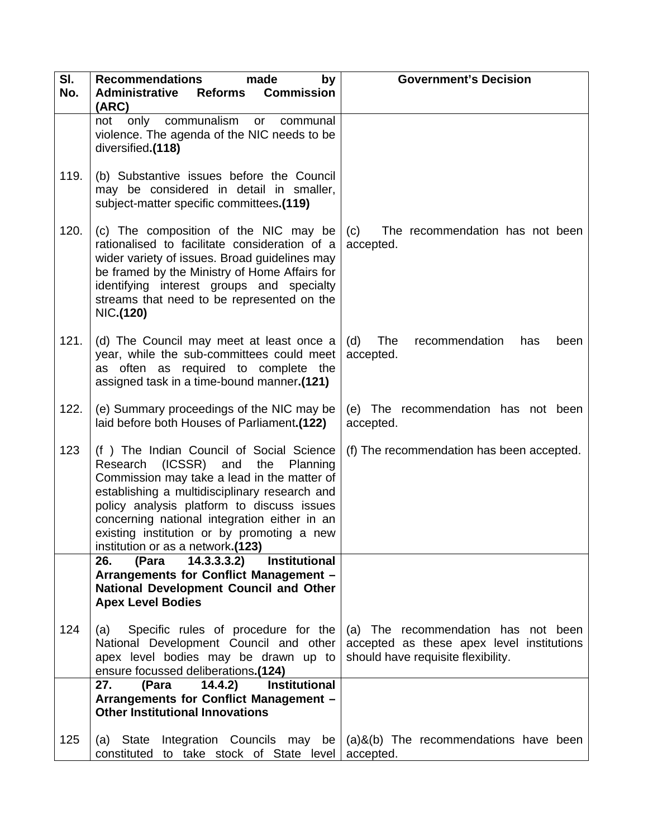| SI.<br>No. | <b>Recommendations</b><br>made<br>by<br>Administrative Reforms Commission                                                                                                                                                                                                                                                                                                 | <b>Government's Decision</b>                                                                                           |
|------------|---------------------------------------------------------------------------------------------------------------------------------------------------------------------------------------------------------------------------------------------------------------------------------------------------------------------------------------------------------------------------|------------------------------------------------------------------------------------------------------------------------|
|            | (ARC)<br>communalism or<br>only<br>not<br>communal<br>violence. The agenda of the NIC needs to be<br>diversified.(118)                                                                                                                                                                                                                                                    |                                                                                                                        |
| 119.       | (b) Substantive issues before the Council<br>may be considered in detail in smaller,<br>subject-matter specific committees.(119)                                                                                                                                                                                                                                          |                                                                                                                        |
| 120.       | (c) The composition of the NIC may be<br>rationalised to facilitate consideration of a<br>wider variety of issues. Broad guidelines may<br>be framed by the Ministry of Home Affairs for<br>identifying interest groups and specialty<br>streams that need to be represented on the<br>NIC.(120)                                                                          | (c)<br>The recommendation has not been<br>accepted.                                                                    |
| 121.       | (d) The Council may meet at least once a<br>year, while the sub-committees could meet<br>as often as required to complete the<br>assigned task in a time-bound manner.(121)                                                                                                                                                                                               | The<br>recommendation<br>(d)<br>has<br>been<br>accepted.                                                               |
| 122.       | (e) Summary proceedings of the NIC may be<br>laid before both Houses of Parliament.(122)                                                                                                                                                                                                                                                                                  | (e) The recommendation has not been<br>accepted.                                                                       |
| 123        | (f) The Indian Council of Social Science<br>$(ICSSR)$ and<br>Research<br>the<br>Planning<br>Commission may take a lead in the matter of<br>establishing a multidisciplinary research and<br>policy analysis platform to discuss issues<br>concerning national integration either in an<br>existing institution or by promoting a new<br>institution or as a network.(123) | (f) The recommendation has been accepted.                                                                              |
|            | 26.<br>14.3.3.3.2)<br><b>Institutional</b><br>(Para<br>Arrangements for Conflict Management -<br>National Development Council and Other<br><b>Apex Level Bodies</b>                                                                                                                                                                                                       |                                                                                                                        |
| 124        | Specific rules of procedure for the<br>(a)<br>National Development Council and other<br>apex level bodies may be drawn up to<br>ensure focussed deliberations.(124)                                                                                                                                                                                                       | (a) The recommendation has not been<br>accepted as these apex level institutions<br>should have requisite flexibility. |
|            | 27.<br>14.4.2)<br><b>Institutional</b><br>(Para<br>Arrangements for Conflict Management -<br><b>Other Institutional Innovations</b>                                                                                                                                                                                                                                       |                                                                                                                        |
| 125        | <b>State</b><br>(a)<br>constituted to take stock of State level                                                                                                                                                                                                                                                                                                           | Integration Councils may be $(a)$ &(b) The recommendations have been<br>accepted.                                      |